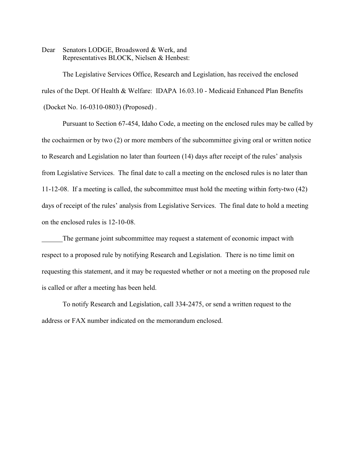Dear Senators LODGE, Broadsword & Werk, and Representatives BLOCK, Nielsen & Henbest:

The Legislative Services Office, Research and Legislation, has received the enclosed rules of the Dept. Of Health & Welfare: IDAPA 16.03.10 - Medicaid Enhanced Plan Benefits (Docket No. 16-0310-0803) (Proposed) .

Pursuant to Section 67-454, Idaho Code, a meeting on the enclosed rules may be called by the cochairmen or by two (2) or more members of the subcommittee giving oral or written notice to Research and Legislation no later than fourteen (14) days after receipt of the rules' analysis from Legislative Services. The final date to call a meeting on the enclosed rules is no later than 11-12-08. If a meeting is called, the subcommittee must hold the meeting within forty-two (42) days of receipt of the rules' analysis from Legislative Services. The final date to hold a meeting on the enclosed rules is 12-10-08.

The germane joint subcommittee may request a statement of economic impact with respect to a proposed rule by notifying Research and Legislation. There is no time limit on requesting this statement, and it may be requested whether or not a meeting on the proposed rule is called or after a meeting has been held.

To notify Research and Legislation, call 334-2475, or send a written request to the address or FAX number indicated on the memorandum enclosed.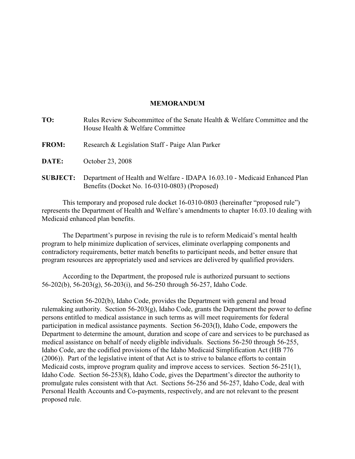# **MEMORANDUM**

| TO:             | Rules Review Subcommittee of the Senate Health & Welfare Committee and the<br>House Health & Welfare Committee              |
|-----------------|-----------------------------------------------------------------------------------------------------------------------------|
| <b>FROM:</b>    | Research & Legislation Staff - Paige Alan Parker                                                                            |
| DATE:           | October 23, 2008                                                                                                            |
| <b>SUBJECT:</b> | Department of Health and Welfare - IDAPA 16.03.10 - Medicaid Enhanced Plan<br>Benefits (Docket No. 16-0310-0803) (Proposed) |

This temporary and proposed rule docket 16-0310-0803 (hereinafter "proposed rule") represents the Department of Health and Welfare's amendments to chapter 16.03.10 dealing with Medicaid enhanced plan benefits.

The Department's purpose in revising the rule is to reform Medicaid's mental health program to help minimize duplication of services, eliminate overlapping components and contradictory requirements, better match benefits to participant needs, and better ensure that program resources are appropriately used and services are delivered by qualified providers.

According to the Department, the proposed rule is authorized pursuant to sections 56-202(b), 56-203(g), 56-203(i), and 56-250 through 56-257, Idaho Code.

Section 56-202(b), Idaho Code, provides the Department with general and broad rulemaking authority. Section 56-203(g), Idaho Code, grants the Department the power to define persons entitled to medical assistance in such terms as will meet requirements for federal participation in medical assistance payments. Section 56-203(I), Idaho Code, empowers the Department to determine the amount, duration and scope of care and services to be purchased as medical assistance on behalf of needy eligible individuals. Sections 56-250 through 56-255, Idaho Code, are the codified provisions of the Idaho Medicaid Simplification Act (HB 776 (2006)). Part of the legislative intent of that Act is to strive to balance efforts to contain Medicaid costs, improve program quality and improve access to services. Section 56-251(1), Idaho Code. Section 56-253(8), Idaho Code, gives the Department's director the authority to promulgate rules consistent with that Act. Sections 56-256 and 56-257, Idaho Code, deal with Personal Health Accounts and Co-payments, respectively, and are not relevant to the present proposed rule.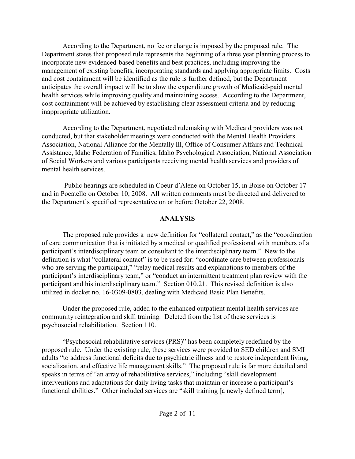According to the Department, no fee or charge is imposed by the proposed rule. The Department states that proposed rule represents the beginning of a three year planning process to incorporate new evidenced-based benefits and best practices, including improving the management of existing benefits, incorporating standards and applying appropriate limits. Costs and cost containment will be identified as the rule is further defined, but the Department anticipates the overall impact will be to slow the expenditure growth of Medicaid-paid mental health services while improving quality and maintaining access. According to the Department, cost containment will be achieved by establishing clear assessment criteria and by reducing inappropriate utilization.

According to the Department, negotiated rulemaking with Medicaid providers was not conducted, but that stakeholder meetings were conducted with the Mental Health Providers Association, National Alliance for the Mentally Ill, Office of Consumer Affairs and Technical Assistance, Idaho Federation of Families, Idaho Psychological Association, National Association of Social Workers and various participants receiving mental health services and providers of mental health services.

 Public hearings are scheduled in Coeur d'Alene on October 15, in Boise on October 17 and in Pocatello on October 10, 2008. All written comments must be directed and delivered to the Department's specified representative on or before October 22, 2008.

# **ANALYSIS**

The proposed rule provides a new definition for "collateral contact," as the "coordination of care communication that is initiated by a medical or qualified professional with members of a participant's interdisciplinary team or consultant to the interdisciplinary team." New to the definition is what "collateral contact" is to be used for: "coordinate care between professionals who are serving the participant," "relay medical results and explanations to members of the participant's interdisciplinary team," or "conduct an intermittent treatment plan review with the participant and his interdisciplinary team." Section 010.21. This revised definition is also utilized in docket no. 16-0309-0803, dealing with Medicaid Basic Plan Benefits.

Under the proposed rule, added to the enhanced outpatient mental health services are community reintegration and skill training. Deleted from the list of these services is psychosocial rehabilitation. Section 110.

"Psychosocial rehabilitative services (PRS)" has been completely redefined by the proposed rule. Under the existing rule, these services were provided to SED children and SMI adults "to address functional deficits due to psychiatric illness and to restore independent living, socialization, and effective life management skills." The proposed rule is far more detailed and speaks in terms of "an array of rehabilitative services," including "skill development interventions and adaptations for daily living tasks that maintain or increase a participant's functional abilities." Other included services are "skill training [a newly defined term],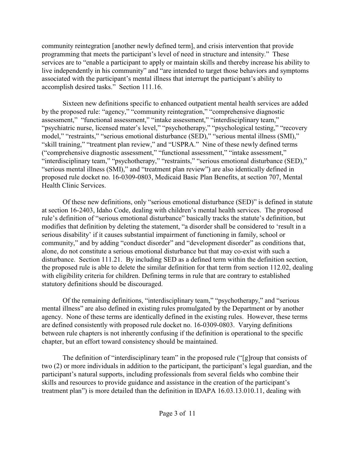community reintegration [another newly defined term], and crisis intervention that provide programming that meets the participant's level of need in structure and intensity." These services are to "enable a participant to apply or maintain skills and thereby increase his ability to live independently in his community" and "are intended to target those behaviors and symptoms associated with the participant's mental illness that interrupt the participant's ability to accomplish desired tasks." Section 111.16.

Sixteen new definitions specific to enhanced outpatient mental health services are added by the proposed rule: "agency," "community reintegration," "comprehensive diagnostic assessment," "functional assessment," "intake assessment," "interdisciplinary team," "psychiatric nurse, licensed mater's level," "psychotherapy," "psychological testing," "recovery model," "restraints," "serious emotional disturbance (SED)," "serious mental illness (SMI)," "skill training," "treatment plan review," and "USPRA." Nine of these newly defined terms ("comprehensive diagnostic assessment," "functional assessment," "intake assessment," "interdisciplinary team," "psychotherapy," "restraints," "serious emotional disturbance (SED)," "serious mental illness (SMI)," and "treatment plan review") are also identically defined in proposed rule docket no. 16-0309-0803, Medicaid Basic Plan Benefits, at section 707, Mental Health Clinic Services.

Of these new definitions, only "serious emotional disturbance (SED)" is defined in statute at section 16-2403, Idaho Code, dealing with children's mental health services. The proposed rule's definition of "serious emotional disturbance" basically tracks the statute's definition, but modifies that definition by deleting the statement, "a disorder shall be considered to 'result in a serious disability' if it causes substantial impairment of functioning in family, school or community," and by adding "conduct disorder" and "development disorder" as conditions that, alone, do not constitute a serious emotional disturbance but that may co-exist with such a disturbance. Section 111.21. By including SED as a defined term within the definition section, the proposed rule is able to delete the similar definition for that term from section 112.02, dealing with eligibility criteria for children. Defining terms in rule that are contrary to established statutory definitions should be discouraged.

Of the remaining definitions, "interdisciplinary team," "psychotherapy," and "serious mental illness" are also defined in existing rules promulgated by the Department or by another agency. None of these terms are identically defined in the existing rules. However, these terms are defined consistently with proposed rule docket no. 16-0309-0803. Varying definitions between rule chapters is not inherently confusing if the definition is operational to the specific chapter, but an effort toward consistency should be maintained.

The definition of "interdisciplinary team" in the proposed rule ("[g]roup that consists of two (2) or more individuals in addition to the participant, the participant's legal guardian, and the participant's natural supports, including professionals from several fields who combine their skills and resources to provide guidance and assistance in the creation of the participant's treatment plan") is more detailed than the definition in IDAPA 16.03.13.010.11, dealing with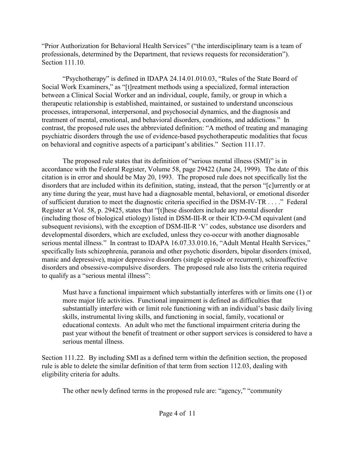"Prior Authorization for Behavioral Health Services" ("the interdisciplinary team is a team of professionals, determined by the Department, that reviews requests for reconsideration"). Section 111.10.

"Psychotherapy" is defined in IDAPA 24.14.01.010.03, "Rules of the State Board of Social Work Examiners," as "[t]reatment methods using a specialized, formal interaction between a Clinical Social Worker and an individual, couple, family, or group in which a therapeutic relationship is established, maintained, or sustained to understand unconscious processes, intrapersonal, interpersonal, and psychosocial dynamics, and the diagnosis and treatment of mental, emotional, and behavioral disorders, conditions, and addictions." In contrast, the proposed rule uses the abbreviated definition: "A method of treating and managing psychiatric disorders through the use of evidence-based psychotherapeutic modalities that focus on behavioral and cognitive aspects of a participant's abilities." Section 111.17.

The proposed rule states that its definition of "serious mental illness (SMI)" is in accordance with the Federal Register, Volume 58, page 29422 (June 24, 1999). The date of this citation is in error and should be May 20, 1993. The proposed rule does not specifically list the disorders that are included within its definition, stating, instead, that the person "[c]urrently or at any time during the year, must have had a diagnosable mental, behavioral, or emotional disorder of sufficient duration to meet the diagnostic criteria specified in the DSM-IV-TR . . . ." Federal Register at Vol. 58, p. 29425, states that "[t]hese disorders include any mental disorder (including those of biological etiology) listed in DSM-III-R or their ICD-9-CM equivalent (and subsequent revisions), with the exception of DSM-III-R 'V' codes, substance use disorders and developmental disorders, which are excluded, unless they co-occur with another diagnosable serious mental illness." In contrast to IDAPA 16.07.33.010.16, "Adult Mental Health Services," specifically lists schizophrenia, paranoia and other psychotic disorders, bipolar disorders (mixed, manic and depressive), major depressive disorders (single episode or recurrent), schizoaffective disorders and obsessive-compulsive disorders. The proposed rule also lists the criteria required to qualify as a "serious mental illness":

Must have a functional impairment which substantially interferes with or limits one (1) or more major life activities. Functional impairment is defined as difficulties that substantially interfere with or limit role functioning with an individual's basic daily living skills, instrumental living skills, and functioning in social, family, vocational or educational contexts. An adult who met the functional impairment criteria during the past year without the benefit of treatment or other support services is considered to have a serious mental illness.

Section 111.22. By including SMI as a defined term within the definition section, the proposed rule is able to delete the similar definition of that term from section 112.03, dealing with eligibility criteria for adults.

The other newly defined terms in the proposed rule are: "agency," "community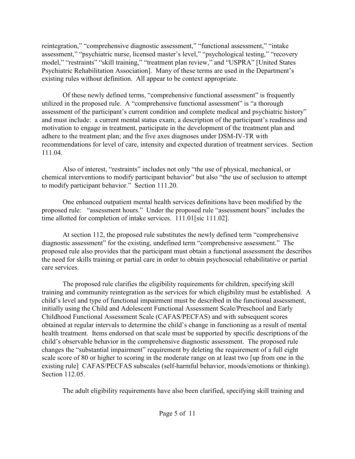reintegration," "comprehensive diagnostic assessment," "functional assessment," "intake assessment," "psychiatric nurse, licensed master's level," "psychological testing," "recovery model," "restraints" "skill training," "treatment plan review," and "USPRA" [United States Psychiatric Rehabilitation Association]. Many of these terms are used in the Department's existing rules without definition. All appear to be context appropriate.

Of these newly defined terms, "comprehensive functional assessment" is frequently utilized in the proposed rule. A "comprehensive functional assessment" is "a thorough assessment of the participant's current condition and complete medical and psychiatric history" and must include: a current mental status exam; a description of the participant's readiness and motivation to engage in treatment, participate in the development of the treatment plan and adhere to the treatment plan; and the five axes diagnoses under DSM-IV-TR with recommendations for level of care, intensity and expected duration of treatment services. Section 111.04.

Also of interest, "restraints" includes not only "the use of physical, mechanical, or chemical interventions to modify participant behavior" but also "the use of seclusion to attempt to modify participant behavior." Section 111.20.

One enhanced outpatient mental health services definitions have been modified by the proposed rule: "assessment hours." Under the proposed rule "assessment hours" includes the time allotted for completion of intake services. 111.01[sic 111.02].

At section 112, the proposed rule substitutes the newly defined term "comprehensive diagnostic assessment" for the existing, undefined term "comprehensive assessment." The proposed rule also provides that the participant must obtain a functional assessment the describes the need for skills training or partial care in order to obtain psychosocial rehabilitative or partial care services.

The proposed rule clarifies the eligibility requirements for children, specifying skill training and community reintegration as the services for which eligibility must be established. A child's level and type of functional impairment must be described in the functional assessment, initially using the Child and Adolescent Functional Assessment Scale/Preschool and Early Childhood Functional Assessment Scale (CAFAS/PECFAS) and with subsequent scores obtained at regular intervals to determine the child's change in functioning as a result of mental health treatment. Items endorsed on that scale must be supported by specific descriptions of the child's observable behavior in the comprehensive diagnostic assessment. The proposed rule changes the "substantial impairment" requirement by deleting the requirement of a full eight scale score of 80 or higher to scoring in the moderate range on at least two [up from one in the existing rule] CAFAS/PECFAS subscales (self-harmful behavior, moods/emotions or thinking). Section 112.05.

The adult eligibility requirements have also been clarified, specifying skill training and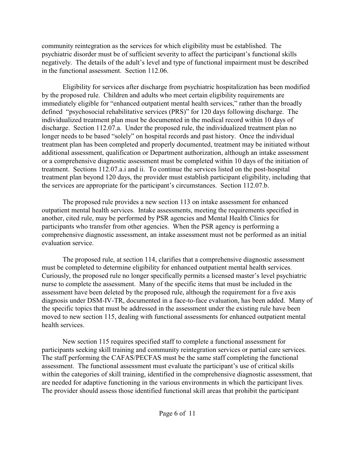community reintegration as the services for which eligibility must be established. The psychiatric disorder must be of sufficient severity to affect the participant's functional skills negatively. The details of the adult's level and type of functional impairment must be described in the functional assessment. Section 112.06.

Eligibility for services after discharge from psychiatric hospitalization has been modified by the proposed rule. Children and adults who meet certain eligibility requirements are immediately eligible for "enhanced outpatient mental health services," rather than the broadly defined "psychosocial rehabilitative services (PRS)" for 120 days following discharge. The individualized treatment plan must be documented in the medical record within 10 days of discharge. Section 112.07.a. Under the proposed rule, the individualized treatment plan no longer needs to be based "solely" on hospital records and past history. Once the individual treatment plan has been completed and properly documented, treatment may be initiated without additional assessment, qualification or Department authorization, although an intake assessment or a comprehensive diagnostic assessment must be completed within 10 days of the initiation of treatment. Sections 112.07.a.i and ii. To continue the services listed on the post-hospital treatment plan beyond 120 days, the provider must establish participant eligibility, including that the services are appropriate for the participant's circumstances. Section 112.07.b.

The proposed rule provides a new section 113 on intake assessment for enhanced outpatient mental health services. Intake assessments, meeting the requirements specified in another, cited rule, may be performed by PSR agencies and Mental Health Clinics for participants who transfer from other agencies. When the PSR agency is performing a comprehensive diagnostic assessment, an intake assessment must not be performed as an initial evaluation service.

The proposed rule, at section 114, clarifies that a comprehensive diagnostic assessment must be completed to determine eligibility for enhanced outpatient mental health services. Curiously, the proposed rule no longer specifically permits a licensed master's level psychiatric nurse to complete the assessment. Many of the specific items that must be included in the assessment have been deleted by the proposed rule, although the requirement for a five axis diagnosis under DSM-IV-TR, documented in a face-to-face evaluation, has been added. Many of the specific topics that must be addressed in the assessment under the existing rule have been moved to new section 115, dealing with functional assessments for enhanced outpatient mental health services.

New section 115 requires specified staff to complete a functional assessment for participants seeking skill training and community reintegration services or partial care services. The staff performing the CAFAS/PECFAS must be the same staff completing the functional assessment. The functional assessment must evaluate the participant's use of critical skills within the categories of skill training, identified in the comprehensive diagnostic assessment, that are needed for adaptive functioning in the various environments in which the participant lives. The provider should assess those identified functional skill areas that prohibit the participant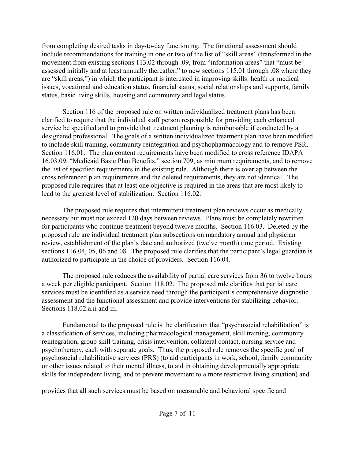from completing desired tasks in day-to-day functioning. The functional assessment should include recommendations for training in one or two of the list of "skill areas" (transformed in the movement from existing sections 113.02 through .09, from "information areas" that "must be assessed initially and at least annually thereafter," to new sections 115.01 through .08 where they are "skill areas,") in which the participant is interested in improving skills: health or medical issues, vocational and education status, financial status, social relationships and supports, family status, basic living skills, housing and community and legal status.

Section 116 of the proposed rule on written individualized treatment plans has been clarified to require that the individual staff person responsible for providing each enhanced service be specified and to provide that treatment planning is reimbursable if conducted by a designated professional. The goals of a written individualized treatment plan have been modified to include skill training, community reintegration and psychopharmacology and to remove PSR. Section 116.01. The plan content requirements have been modified to cross reference IDAPA 16.03.09, "Medicaid Basic Plan Benefits," section 709, as minimum requirements, and to remove the list of specified requirements in the existing rule. Although there is overlap between the cross referenced plan requirements and the deleted requirements, they are not identical. The proposed rule requires that at least one objective is required in the areas that are most likely to lead to the greatest level of stabilization. Section 116.02.

The proposed rule requires that intermittent treatment plan reviews occur as medically necessary but must not exceed 120 days between reviews. Plans must be completely rewritten for participants who continue treatment beyond twelve months. Section 116.03. Deleted by the proposed rule are individual treatment plan subsections on mandatory annual and physician review, establishment of the plan's date and authorized (twelve month) time period. Existing sections 116.04, 05, 06 and 08. The proposed rule clarifies that the participant's legal guardian is authorized to participate in the choice of providers. Section 116.04.

The proposed rule reduces the availability of partial care services from 36 to twelve hours a week per eligible participant. Section 118.02. The proposed rule clarifies that partial care services must be identified as a service need through the participant's comprehensive diagnostic assessment and the functional assessment and provide interventions for stabilizing behavior. Sections 118.02.a.ii and iii.

Fundamental to the proposed rule is the clarification that "psychosocial rehabilitation" is a classification of services, including pharmacological management, skill training, community reintegration, group skill training, crisis intervention, collateral contact, nursing service and psychotherapy, each with separate goals. Thus, the proposed rule removes the specific goal of psychosocial rehabilitative services (PRS) (to aid participants in work, school, family community or other issues related to their mental illness, to aid in obtaining developmentally appropriate skills for independent living, and to prevent movement to a more restrictive living situation) and

provides that all such services must be based on measurable and behavioral specific and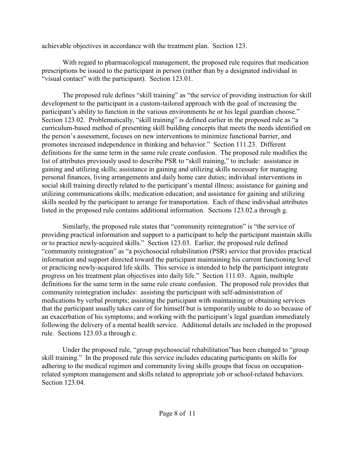achievable objectives in accordance with the treatment plan. Section 123.

With regard to pharmacological management, the proposed rule requires that medication prescriptions be issued to the participant in person (rather than by a designated individual in "visual contact" with the participant). Section 123.01.

The proposed rule defines "skill training" as "the service of providing instruction for skill development to the participant in a custom-tailored approach with the goal of increasing the participant's ability to function in the various environments he or his legal guardian choose." Section 123.02. Problematically, "skill training" is defined earlier in the proposed rule as "a curriculum-based method of presenting skill building concepts that meets the needs identified on the person's assessment, focuses on new interventions to minimize functional barrier, and promotes increased independence in thinking and behavior." Section 111.23. Different definitions for the same term in the same rule create confusion. The proposed rule modifies the list of attributes previously used to describe PSR to "skill training," to include: assistance in gaining and utilizing skills; assistance in gaining and utilizing skills necessary for managing personal finances, living arrangements and daily home care duties; individual interventions in social skill training directly related to the participant's mental illness; assistance for gaining and utilizing communications skills; medication education; and assistance for gaining and utilizing skills needed by the participant to arrange for transportation. Each of these individual attributes listed in the proposed rule contains additional information. Sections 123.02.a through g.

Similarly, the proposed rule states that "community reintegration" is "the service of providing practical information and support to a participant to help the participant maintain skills or to practice newly-acquired skills." Section 123.03. Earlier, the proposed rule defined "community reintegration" as "a psychosocial rehabilitation (PSR) service that provides practical information and support directed toward the participant maintaining his current functioning level or practicing newly-acquired life skills. This service is intended to help the participant integrate progress on his treatment plan objectives into daily life." Section 111.03. Again, multiple definitions for the same term in the same rule create confusion. The proposed rule provides that community reintegration includes: assisting the participant with self-administration of medications by verbal prompts; assisting the participant with maintaining or obtaining services that the participant usually takes care of for himself but is temporarily unable to do so because of an exacerbation of his symptoms; and working with the participant's legal guardian immediately following the delivery of a mental health service. Additional details are included in the proposed rule. Sections 123.03.a through c.

Under the proposed rule, "group psychosocial rehabilitation"has been changed to "group skill training." In the proposed rule this service includes educating participants on skills for adhering to the medical regimen and community living skills groups that focus on occupationrelated symptom management and skills related to appropriate job or school-related behaviors. Section 123.04.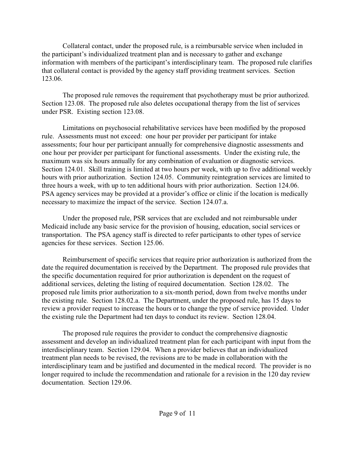Collateral contact, under the proposed rule, is a reimbursable service when included in the participant's individualized treatment plan and is necessary to gather and exchange information with members of the participant's interdisciplinary team. The proposed rule clarifies that collateral contact is provided by the agency staff providing treatment services. Section 123.06.

The proposed rule removes the requirement that psychotherapy must be prior authorized. Section 123.08. The proposed rule also deletes occupational therapy from the list of services under PSR. Existing section 123.08.

Limitations on psychosocial rehabilitative services have been modified by the proposed rule. Assessments must not exceed: one hour per provider per participant for intake assessments; four hour per participant annually for comprehensive diagnostic assessments and one hour per provider per participant for functional assessments. Under the existing rule, the maximum was six hours annually for any combination of evaluation or diagnostic services. Section 124.01. Skill training is limited at two hours per week, with up to five additional weekly hours with prior authorization. Section 124.05. Community reintegration services are limited to three hours a week, with up to ten additional hours with prior authorization. Section 124.06. PSA agency services may be provided at a provider's office or clinic if the location is medically necessary to maximize the impact of the service. Section 124.07.a.

Under the proposed rule, PSR services that are excluded and not reimbursable under Medicaid include any basic service for the provision of housing, education, social services or transportation. The PSA agency staff is directed to refer participants to other types of service agencies for these services. Section 125.06.

Reimbursement of specific services that require prior authorization is authorized from the date the required documentation is received by the Department. The proposed rule provides that the specific documentation required for prior authorization is dependent on the request of additional services, deleting the listing of required documentation. Section 128.02. The proposed rule limits prior authorization to a six-month period, down from twelve months under the existing rule. Section 128.02.a. The Department, under the proposed rule, has 15 days to review a provider request to increase the hours or to change the type of service provided. Under the existing rule the Department had ten days to conduct its review. Section 128.04.

The proposed rule requires the provider to conduct the comprehensive diagnostic assessment and develop an individualized treatment plan for each participant with input from the interdisciplinary team. Section 129.04. When a provider believes that an individualized treatment plan needs to be revised, the revisions are to be made in collaboration with the interdisciplinary team and be justified and documented in the medical record. The provider is no longer required to include the recommendation and rationale for a revision in the 120 day review documentation. Section 129.06.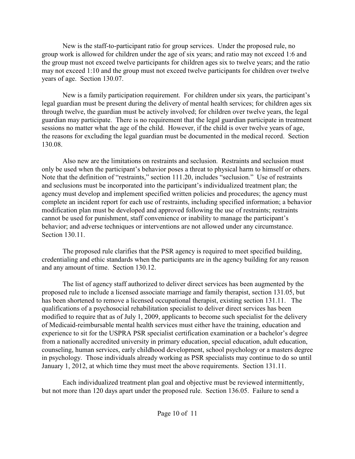New is the staff-to-participant ratio for group services. Under the proposed rule, no group work is allowed for children under the age of six years; and ratio may not exceed 1:6 and the group must not exceed twelve participants for children ages six to twelve years; and the ratio may not exceed 1:10 and the group must not exceed twelve participants for children over twelve years of age. Section 130.07.

New is a family participation requirement. For children under six years, the participant's legal guardian must be present during the delivery of mental health services; for children ages six through twelve, the guardian must be actively involved; for children over twelve years, the legal guardian may participate. There is no requirement that the legal guardian participate in treatment sessions no matter what the age of the child. However, if the child is over twelve years of age, the reasons for excluding the legal guardian must be documented in the medical record. Section 130.08.

Also new are the limitations on restraints and seclusion. Restraints and seclusion must only be used when the participant's behavior poses a threat to physical harm to himself or others. Note that the definition of "restraints," section 111.20, includes "seclusion." Use of restraints and seclusions must be incorporated into the participant's individualized treatment plan; the agency must develop and implement specified written policies and procedures; the agency must complete an incident report for each use of restraints, including specified information; a behavior modification plan must be developed and approved following the use of restraints; restraints cannot be used for punishment, staff convenience or inability to manage the participant's behavior; and adverse techniques or interventions are not allowed under any circumstance. Section 130.11

The proposed rule clarifies that the PSR agency is required to meet specified building, credentialing and ethic standards when the participants are in the agency building for any reason and any amount of time. Section 130.12.

The list of agency staff authorized to deliver direct services has been augmented by the proposed rule to include a licensed associate marriage and family therapist, section 131.05, but has been shortened to remove a licensed occupational therapist, existing section 131.11. The qualifications of a psychosocial rehabilitation specialist to deliver direct services has been modified to require that as of July 1, 2009, applicants to become such specialist for the delivery of Medicaid-reimbursable mental health services must either have the training, education and experience to sit for the USPRA PSR specialist certification examination or a bachelor's degree from a nationally accredited university in primary education, special education, adult education, counseling, human services, early childhood development, school psychology or a masters degree in psychology. Those individuals already working as PSR specialists may continue to do so until January 1, 2012, at which time they must meet the above requirements. Section 131.11.

Each individualized treatment plan goal and objective must be reviewed intermittently, but not more than 120 days apart under the proposed rule. Section 136.05. Failure to send a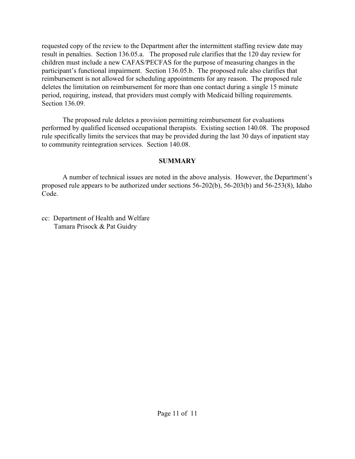requested copy of the review to the Department after the intermittent staffing review date may result in penalties. Section 136.05.a. The proposed rule clarifies that the 120 day review for children must include a new CAFAS/PECFAS for the purpose of measuring changes in the participant's functional impairment. Section 136.05.b. The proposed rule also clarifies that reimbursement is not allowed for scheduling appointments for any reason. The proposed rule deletes the limitation on reimbursement for more than one contact during a single 15 minute period, requiring, instead, that providers must comply with Medicaid billing requirements. Section 136.09.

The proposed rule deletes a provision permitting reimbursement for evaluations performed by qualified licensed occupational therapists. Existing section 140.08. The proposed rule specifically limits the services that may be provided during the last 30 days of inpatient stay to community reintegration services. Section 140.08.

# **SUMMARY**

A number of technical issues are noted in the above analysis. However, the Department's proposed rule appears to be authorized under sections 56-202(b), 56-203(b) and 56-253(8), Idaho Code.

cc: Department of Health and Welfare Tamara Prisock & Pat Guidry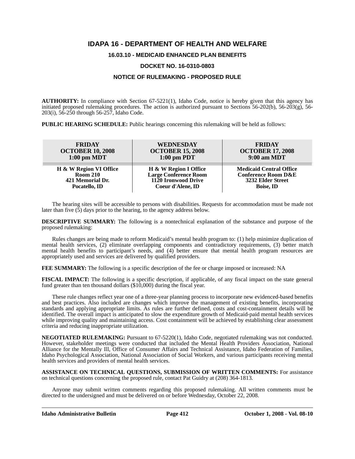# **IDAPA 16 - DEPARTMENT OF HEALTH AND WELFARE**

# **16.03.10 - MEDICAID ENHANCED PLAN BENEFITS**

# **DOCKET NO. 16-0310-0803**

# **NOTICE OF RULEMAKING - PROPOSED RULE**

**AUTHORITY:** In compliance with Section 67-5221(1), Idaho Code, notice is hereby given that this agency has initiated proposed rulemaking procedures. The action is authorized pursuant to Sections 56-202(b), 56-203(g), 56- 203(i), 56-250 through 56-257, Idaho Code.

**PUBLIC HEARING SCHEDULE:** Public hearings concerning this rulemaking will be held as follows:

| <b>FRIDAY</b>           | WEDNESDAY                    | <b>FRIDAY</b>                  |
|-------------------------|------------------------------|--------------------------------|
| <b>OCTOBER 10, 2008</b> | <b>OCTOBER 15, 2008</b>      | <b>OCTOBER 17, 2008</b>        |
| $1:00$ pm MDT           | $1:00$ pm PDT                | $9:00$ am MDT                  |
| H & W Region VI Office  | H & W Region I Office        | <b>Medicaid Central Office</b> |
| <b>Room 210</b>         | <b>Large Conference Room</b> | <b>Conference Room D&amp;E</b> |
| 421 Memorial Dr.        | 1120 Ironwood Drive          | 3232 Elder Street              |
| Pocatello, ID           | Coeur d'Alene, ID            | <b>Boise, ID</b>               |

The hearing sites will be accessible to persons with disabilities. Requests for accommodation must be made not later than five  $(5)$  days prior to the hearing, to the agency address below.

**DESCRIPTIVE SUMMARY:** The following is a nontechnical explanation of the substance and purpose of the proposed rulemaking:

Rules changes are being made to reform Medicaid's mental health program to: (1) help minimize duplication of mental health services, (2) eliminate overlapping components and contradictory requirements, (3) better match mental health benefits to participant's needs, and (4) better ensure that mental health program resources are appropriately used and services are delivered by qualified providers.

**FEE SUMMARY:** The following is a specific description of the fee or charge imposed or increased: NA

**FISCAL IMPACT:** The following is a specific description, if applicable, of any fiscal impact on the state general fund greater than ten thousand dollars (\$10,000) during the fiscal year.

These rule changes reflect year one of a three-year planning process to incorporate new evidenced-based benefits and best practices. Also included are changes which improve the management of existing benefits, incorporating standards and applying appropriate limits. As rules are further defined, costs and cost-containment details will be identified. The overall impact is anticipated to slow the expenditure growth of Medicaid-paid mental health services while improving quality and maintaining access. Cost containment will be achieved by establishing clear assessment criteria and reducing inappropriate utilization.

**NEGOTIATED RULEMAKING:** Pursuant to 67-5220(1), Idaho Code, negotiated rulemaking was not conducted. However, stakeholder meetings were conducted that included the Mental Health Providers Association, National Alliance for the Mentally Ill, Office of Consumer Affairs and Technical Assistance, Idaho Federation of Families, Idaho Psychological Association, National Association of Social Workers, and various participants receiving mental health services and providers of mental health services.

**ASSISTANCE ON TECHNICAL QUESTIONS, SUBMISSION OF WRITTEN COMMENTS:** For assistance on technical questions concerning the proposed rule, contact Pat Guidry at (208) 364-1813*.*

Anyone may submit written comments regarding this proposed rulemaking. All written comments must be directed to the undersigned and must be delivered on or before Wednesday, October 22, 2008.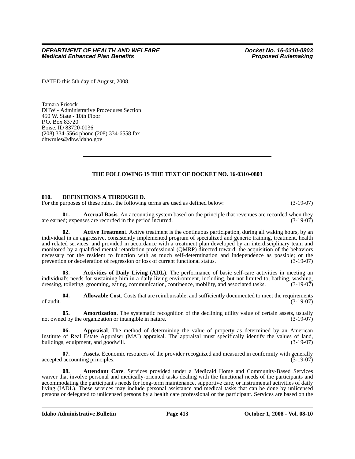DATED this 5th day of August, 2008.

Tamara Prisock DHW - Administrative Procedures Section 450 W. State - 10th Floor P.O. Box 83720 Boise, ID 83720-0036 (208) 334-5564 phone (208) 334-6558 fax <dhwrules@dhw.idaho.gov>

# **THE FOLLOWING IS THE TEXT OF DOCKET NO. 16-0310-0803**

# **010. DEFINITIONS A THROUGH D.**

For the purposes of these rules, the following terms are used as defined below:  $(3-19-07)$ 

**01.** Accrual Basis. An accounting system based on the principle that revenues are recorded when they are earned; expenses are recorded in the period incurred. (3-19-07)

**02. Active Treatmen**t. Active treatment is the continuous participation, during all waking hours, by an individual in an aggressive, consistently implemented program of specialized and generic training, treatment, health and related services, and provided in accordance with a treatment plan developed by an interdisciplinary team and monitored by a qualified mental retardation professional (QMRP) directed toward: the acquisition of the behaviors necessary for the resident to function with as much self-determination and independence as possible; or the prevention or deceleration of regression or loss of current functional status. (3-19-07)

**03. Activities of Daily Living (ADL)**. The performance of basic self-care activities in meeting an individual's needs for sustaining him in a daily living environment, including, but not limited to, bathing, washing, dressing, toileting, grooming, eating, communication, continence, mobility, and associated tasks. (3-19-07)

**04.** Allowable Cost. Costs that are reimbursable, and sufficiently documented to meet the requirements of audit.  $(3-19-07)$ 

**05.** Amortization. The systematic recognition of the declining utility value of certain assets, usually ed by the organization or intangible in nature.  $(3-19-07)$ not owned by the organization or intangible in nature.

**06. Appraisal**. The method of determining the value of property as determined by an American Institute of Real Estate Appraiser (MAI) appraisal. The appraisal must specifically identify the values of land, buildings, equipment, and goodwill. (3-19-07)

**07. Assets**. Economic resources of the provider recognized and measured in conformity with generally accepted accounting principles. (3-19-07)

**08. Attendant Care**. Services provided under a Medicaid Home and Community-Based Services waiver that involve personal and medically-oriented tasks dealing with the functional needs of the participants and accommodating the participant's needs for long-term maintenance, supportive care, or instrumental activities of daily living (IADL). These services may include personal assistance and medical tasks that can be done by unlicensed persons or delegated to unlicensed persons by a health care professional or the participant. Services are based on the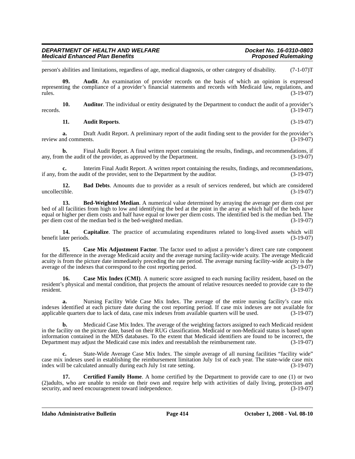| DEPARTMENT OF HEALTH AND WELFARE       | Docket No. 16-0310-0803    |
|----------------------------------------|----------------------------|
| <b>Medicaid Enhanced Plan Benefits</b> | <b>Proposed Rulemaking</b> |

person's abilities and limitations, regardless of age, medical diagnosis, or other category of disability. (7-1-07)T

**09. Audit**. An examination of provider records on the basis of which an opinion is expressed representing the compliance of a provider's financial statements and records with Medicaid law, regulations, and rules. (3-19-07)

**10. Auditor**. The individual or entity designated by the Department to conduct the audit of a provider's records.  $(3-19-07)$ 

#### **11. Audit Reports**. (3-19-07)

**a.** Draft Audit Report. A preliminary report of the audit finding sent to the provider for the provider's nd comments. (3-19-07) review and comments.

**b.** Final Audit Report. A final written report containing the results, findings, and recommendations, if any, from the audit of the provider, as approved by the Department.  $(3-19-07)$ 

**c.** Interim Final Audit Report. A written report containing the results, findings, and recommendations, if any, from the audit of the provider, sent to the Department by the auditor. (3-19-07)

**12. Bad Debts**. Amounts due to provider as a result of services rendered, but which are considered tible. (3-19-07) uncollectible.

**13. Bed-Weighted Median**. A numerical value determined by arraying the average per diem cost per bed of all facilities from high to low and identifying the bed at the point in the array at which half of the beds have equal or higher per diem costs and half have equal or lower per diem costs. The identified bed is the median bed. The per diem cost of the median bed is the bed-weighted median. (3-19-07)

**14. Capitalize**. The practice of accumulating expenditures related to long-lived assets which will benefit later periods. (3-19-07)

**15. Case Mix Adjustment Factor**. The factor used to adjust a provider's direct care rate component for the difference in the average Medicaid acuity and the average nursing facility-wide acuity. The average Medicaid acuity is from the picture date immediately preceding the rate period. The average nursing facility-wide acuity is the average of the indexes that correspond to the cost reporting period. (3-19-07)

**16. Case Mix Index (CMI)**. A numeric score assigned to each nursing facility resident, based on the resident's physical and mental condition, that projects the amount of relative resources needed to provide care to the resident. (3-19-07)

**a.** Nursing Facility Wide Case Mix Index. The average of the entire nursing facility's case mix indexes identified at each picture date during the cost reporting period. If case mix indexes are not available for applicable quarters due to lack of data, case mix indexes from available quarters will be used. (3-19-07)

**b.** Medicaid Case Mix Index. The average of the weighting factors assigned to each Medicaid resident in the facility on the picture date, based on their RUG classification. Medicaid or non-Medicaid status is based upon information contained in the MDS databases. To the extent that Medicaid identifiers are found to be incorrect, the Department may adjust the Medicaid case mix index and reestablish the reimbursement rate. (3-19-07)

**c.** State-Wide Average Case Mix Index. The simple average of all nursing facilities "facility wide" case mix indexes used in establishing the reimbursement limitation July 1st of each year. The state-wide case mix index will be calculated annually during each July 1st rate setting. (3-19-07)

**17. Certified Family Home**. A home certified by the Department to provide care to one (1) or two (2)adults, who are unable to reside on their own and require help with activities of daily living, protection and security, and need encouragement toward independence. (3-19-07) security, and need encouragement toward independence.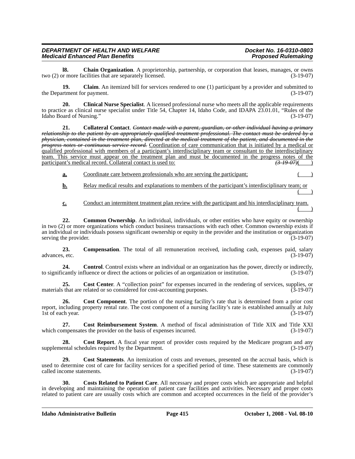**l8.** Chain Organization. A proprietorship, partnership, or corporation that leases, manages, or owns or more facilities that are separately licensed. (3-19-07) two  $(2)$  or more facilities that are separately licensed.

**19.** Claim. An itemized bill for services rendered to one (1) participant by a provider and submitted to the Department for payment. (3-19-07)

**20. Clinical Nurse Specialist**. A licensed professional nurse who meets all the applicable requirements to practice as clinical nurse specialist under Title 54, Chapter 14, Idaho Code, and IDAPA 23.01.01, "Rules of the Idaho Board of Nursing." (3-19-07)

**21. Collateral Contact**. *Contact made with a parent, guardian, or other individual having a primary relationship to the patient by an appropriately qualified treatment professional. The contact must be ordered by a physician, contained in the treatment plan, directed at the medical treatment of the patient, and documented in the progress notes or continuous service record.* Coordination of care communication that is initiated by a medical or qualified professional with members of a participant's interdisciplinary team or consultant to the interdisciplinary team. This service must appear on the treatment plan and must be documented in the progress notes of the participant's medical record. Collateral contact is used to:  $\left(\frac{3796}{2}\right)$ participant's medical record. Collateral contact is used to:

- **a.** Coordinate care between professionals who are serving the participant; ( )
- **b.** Relay medical results and explanations to members of the participant's interdisciplinary team; or  $($  )
- **c.** Conduct an intermittent treatment plan review with the participant and his interdisciplinary team.  $($  )

**22. Common Ownership**. An individual, individuals, or other entities who have equity or ownership in two (2) or more organizations which conduct business transactions with each other. Common ownership exists if an individual or individuals possess significant ownership or equity in the provider and the institution or organization serving the provider. (3-19-07)

**23. Compensation**. The total of all remuneration received, including cash, expenses paid, salary advances, etc. (3-19-07)

**24.** Control. Control exists where an individual or an organization has the power, directly or indirectly, to significantly influence or direct the actions or policies of an organization or institution. (3-19-07)

**25. Cost Center**. A "collection point" for expenses incurred in the rendering of services, supplies, or materials that are related or so considered for cost-accounting purposes. (3-19-07)

**26. Cost Component**. The portion of the nursing facility's rate that is determined from a prior cost report, including property rental rate. The cost component of a nursing facility's rate is established annually at July 1st of each year. (3-19-07)

**27.** Cost Reimbursement System. A method of fiscal administration of Title XIX and Title XXI ampensates the provider on the basis of expenses incurred. (3-19-07) which compensates the provider on the basis of expenses incurred.

**28. Cost Report**. A fiscal year report of provider costs required by the Medicare program and any supplemental schedules required by the Department. (3-19-07)

**29. Cost Statements**. An itemization of costs and revenues, presented on the accrual basis, which is used to determine cost of care for facility services for a specified period of time. These statements are commonly called income statements. (3-19-07)

**30. Costs Related to Patient Care**. All necessary and proper costs which are appropriate and helpful in developing and maintaining the operation of patient care facilities and activities. Necessary and proper costs related to patient care are usually costs which are common and accepted occurrences in the field of the provider's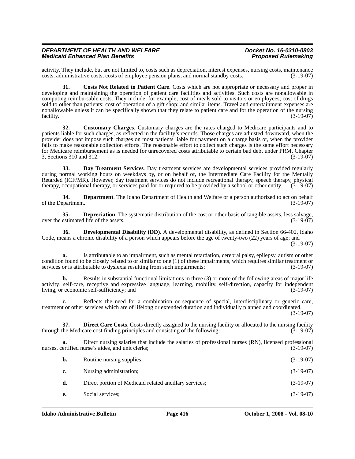activity. They include, but are not limited to, costs such as depreciation, interest expenses, nursing costs, maintenance costs, administrative costs, costs of employee pension plans, and normal standby costs.

**31. Costs Not Related to Patient Care**. Costs which are not appropriate or necessary and proper in developing and maintaining the operation of patient care facilities and activities. Such costs are nonallowable in computing reimbursable costs. They include, for example, cost of meals sold to visitors or employees; cost of drugs sold to other than patients; cost of operation of a gift shop; and similar items. Travel and entertainment expenses are nonallowable unless it can be specifically shown that they relate to patient care and for the operation of the nursing facility. (3-19-07)

**32. Customary Charges**. Customary charges are the rates charged to Medicare participants and to patients liable for such charges, as reflected in the facility's records. Those charges are adjusted downward, when the provider does not impose such charges on most patients liable for payment on a charge basis or, when the provider fails to make reasonable collection efforts. The reasonable effort to collect such charges is the same effort necessary for Medicare reimbursement as is needed for unrecovered costs attributable to certain bad debt under PRM, Chapter 3, Sections 310 and 312. (3-19-07)

**33. Day Treatment Services**. Day treatment services are developmental services provided regularly during normal working hours on weekdays by, or on behalf of, the Intermediate Care Facility for the Mentally Retarded (ICF/MR). However, day treatment services do not include recreational therapy, speech therapy, physical therapy, occupational therapy, or services paid for or required to be provided by a school or other entity.  $(3-19-07)$ 

**34. Department**. The Idaho Department of Health and Welfare or a person authorized to act on behalf of the Department. (3-19-07)

**35. Depreciation**. The systematic distribution of the cost or other basis of tangible assets, less salvage, over the estimated life of the assets.  $(3-19-07)$ 

**36. Developmental Disability (DD)**. A developmental disability, as defined in Section 66-402, Idaho Code, means a chronic disability of a person which appears before the age of twenty-two (22) years of age; and (3-19-07)

**a.** Is attributable to an impairment, such as mental retardation, cerebral palsy, epilepsy, autism or other condition found to be closely related to or similar to one (1) of these impairments, which requires similar treatment or services or is attributable to dyslexia resulting from such impairments; (3-19-07) services or is attributable to dyslexia resulting from such impairments;

**b.** Results in substantial functional limitations in three (3) or more of the following areas of major life activity; self-care, receptive and expressive language, learning, mobility, self-direction, capacity for independent living, or economic self-sufficiency; and (3-19-07)

**c.** Reflects the need for a combination or sequence of special, interdisciplinary or generic care, treatment or other services which are of lifelong or extended duration and individually planned and coordinated.

(3-19-07)

**37. Direct Care Costs**. Costs directly assigned to the nursing facility or allocated to the nursing facility the Medicare cost finding principles and consisting of the following:  $(3-19-07)$ through the Medicare cost finding principles and consisting of the following:

**a.** Direct nursing salaries that include the salaries of professional nurses (RN), licensed professional nurses, certified nurse's aides, and unit clerks; (3-19-07)

| b. | Routine nursing supplies;                              | $(3-19-07)$ |
|----|--------------------------------------------------------|-------------|
| c. | Nursing administration;                                | $(3-19-07)$ |
| d. | Direct portion of Medicaid related ancillary services; | $(3-19-07)$ |
| е. | Social services:                                       | $(3-19-07)$ |
|    |                                                        |             |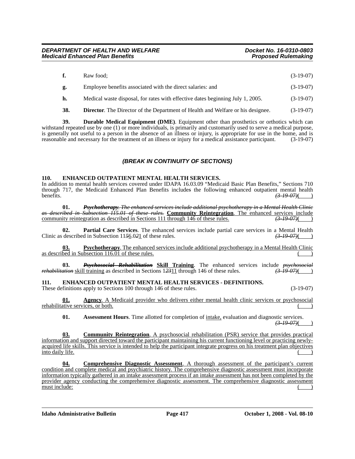| f.  | Raw food:                                                                              | $(3-19-07)$ |
|-----|----------------------------------------------------------------------------------------|-------------|
| g.  | Employee benefits associated with the direct salaries: and                             | $(3-19-07)$ |
| h.  | Medical waste disposal, for rates with effective dates beginning July 1, 2005.         | $(3-19-07)$ |
| 38. | <b>Director.</b> The Director of the Department of Health and Welfare or his designee. | $(3-19-07)$ |

**39. Durable Medical Equipment (DME)**. Equipment other than prosthetics or orthotics which can withstand repeated use by one (1) or more individuals, is primarily and customarily used to serve a medical purpose, is generally not useful to a person in the absence of an illness or injury, is appropriate for use in the home, and is reasonable and necessary for the treatment of an illness or injury for a medical assistance participant reasonable and necessary for the treatment of an illness or injury for a medical assistance participant.

# *(BREAK IN CONTINUITY OF SECTIONS)*

# **110. ENHANCED OUTPATIENT MENTAL HEALTH SERVICES.**

In addition to mental health services covered under IDAPA 16.03.09 "Medicaid Basic Plan Benefits," Sections 710 through 717, the Medicaid Enhanced Plan Benefits include*s* the following enhanced outpatient mental health benefits. *(3-19-07)*( )

**01.** *Psychotherapy. The enhanced services include additional psychotherapy in a Mental Health Clinic as described in Subsection 115.01 of these rules.* **Community Reintegration**. The enhanced services include community reintegration as described in Sections 111 through 146 of these rules. *(3-19-07)*( )

**02. Partial Care Services**. The enhanced services include partial care services in a Mental Health described in Subsection 1156.021 of these rules.  $\left(3-19-07\right)$ Clinic as described in Subsection 1156.021 of these rules.

**03. Psychotherapy**. The enhanced services include additional psychotherapy in a Mental Health Clinic as described in Subsection 116.01 of these rules.

**03.** *Psychosocial Rehabilitation* **Skill Training**. The enhanced services include *psychosocial rehabilitation* skill training as described in Sections 12311 through 146 of these rules.  $\left(3\text{-}19\text{-}07\right)$ 

# **111. ENHANCED OUTPATIENT MENTAL HEALTH SERVICES - DEFINITIONS.**

These definitions apply to Sections 100 through 146 of these rules. (3-19-07)

**01. Agency**. A Medicaid provider who delivers either mental health clinic services or psychosocial rehabilitative services, or both.

**01.** Assessment Hours. Time allotted for completion of intake, evaluation and diagnostic services. *(3-19-07)*( )

**03. Community Reintegration**. A psychosocial rehabilitation (PSR) service that provides practical information and support directed toward the participant maintaining his current functioning level or practicing newlyacquired life skills. This service is intended to help the participant integrate progress on his treatment plan objectives into daily life.

**04. Comprehensive Diagnostic Assessment**. A thorough assessment of the participant's current condition and complete medical and psychiatric history. The comprehensive diagnostic assessment must incorporate information typically gathered in an intake assessment process if an intake assessment has not been completed by the provider agency conducting the comprehensive diagnostic assessment. The comprehensive diagnostic assessment must include: ( )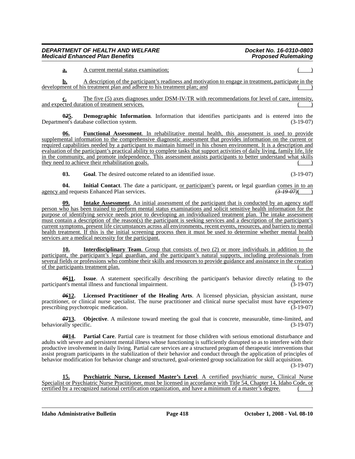**a.** A current mental status examination;

**b.** A description of the participant's readiness and motivation to engage in treatment, participate in the development of his treatment plan and adhere to his treatment plan; and

**c.** The five (5) axes diagnoses under DSM-IV-TR with recommendations for level of care, intensity, and expected duration of treatment services.

**0***2***5. Demographic Information**. Information that identifies participants and is entered into the Department's database collection system. (3-19-07)

**06. Functional Assessment**. In rehabilitative mental health, this assessment is used to provide supplemental information to the comprehensive diagnostic assessment that provides information on the current or required capabilities needed by a participant to maintain himself in his chosen environment. It is a description and evaluation of the participant's practical ability to complete tasks that support activities of daily living, family life, life in the community, and promote independence. This assessment assists participants to better understand what skills they need to achieve their rehabilitation goals.

**03.** Goal. The desired outcome related to an identified issue. (3-19-07)

**04.** Initial Contact. The date a participant, <u>or participant's</u> parent, or legal guardian comes in to an nd requests Enhanced Plan services.  $\left( \frac{3-19-07}{2} \right)$ agency and requests Enhanced Plan services.

**Intake Assessment**. An initial assessment of the participant that is conducted by an agency staff person who has been trained to perform mental status examinations and solicit sensitive health information for the purpose of identifying service needs prior to developing an individualized treatment plan. The intake assessment must contain a description of the reason(s) the participant is seeking services and a description of the participant's current symptoms, present life circumstances across all environments, recent events, resources, and barriers to mental health treatment. If this is the initial screening process then it must be used to determine whether mental health services are a medical necessity for the participant.

**Interdisciplinary Team**. Group that consists of two (2) or more individuals in addition to the participant, the participant's legal guardian, and the participant's natural supports, including professionals from several fields or professions who combine their skills and resources to provide guidance and assistance in the creation of the participants treatment plan.

*05***11. Issue**. A statement specifically describing the participant's behavior directly relating to the participant's mental illness and functional impairment. (3-19-07)

*06***12. Licensed Practitioner of the Healing Arts**. A licensed physician, physician assistant, nurse practitioner, or clinical nurse specialist. The nurse practitioner and clinical nurse specialist must have experience prescribing psychotropic medication. (3-19-07)

*07***13. Objective**. A milestone toward meeting the goal that is concrete, measurable, time-limited, and behaviorally specific. (3-19-07) (3-19-07)

*08***14. Partial Care**. Partial care is treatment for those children with serious emotional disturbance and adults with severe and persistent mental illness whose functioning is sufficiently disrupted so as to interfere with their productive involvement in daily living. Partial care services are a structured program of therapeutic interventions that assist program participants in the stabilization of their behavior and conduct through the application of principles of behavior modification for behavior change and structured, goal-oriented group socialization for skill acquisition.

(3-19-07)

**15. Psychiatric Nurse, Licensed Master's Level**. A certified psychiatric nurse, Clinical Nurse Specialist or Psychiatric Nurse Practitioner, must be licensed in accordance with Title 54, Chapter 14, Idaho Code, or certified by a recognized national certification organization, and have a minimum of a master's degree.

**Idaho Administrative Bulletin Page 418 October 1, 2008 - Vol. 08-10**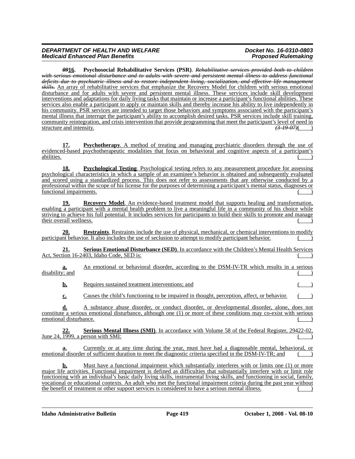# *DEPARTMENT OF HEALTH AND WELFARE Docket No. 16-0310-0803 Medicaid Enhanced Plan Benefits*

*09***16. Psychosocial Rehabilitative Services (PSR)**. *Rehabilitative services provided both to children with serious emotional disturbance and to adults with severe and persistent mental illness to address functional deficits due to psychiatric illness and to restore independent living, socialization, and effective life management skills.* An array of rehabilitative services that emphasize the Recovery Model for children with serious emotional disturbance and for adults with severe and persistent mental illness. These services include skill development interventions and adaptations for daily living tasks that maintain or increase a participant's functional abilities. These services also enable a participant to apply or maintain skills and thereby increase his ability to live independently in his community. PSR services are intended to target those behaviors and symptoms associated with the participant's mental illness that interrupt the participant's ability to accomplish desired tasks. PSR services include skill training, community reintegration, and crisis intervention that provide programming that meet the participant's level of need in structure and intensity.  $\left(3\frac{19}{9}\right)$ structure and intensity.

**17. Psychotherapy**. A method of treating and managing psychiatric disorders through the use of evidenced-based psychotherapeutic modalities that focus on behavioral and cognitive aspects of a participant's abilities. ( )

**18. Psychological Testing**. Psychological testing refers to any measurement procedure for assessing psychological characteristics in which a sample of an examinee's behavior is obtained and subsequently evaluated and scored using a standardized process. This does not refer to assessments that are otherwise conducted by a professional within the scope of his license for the purposes of determining a participant's mental status, diagnoses or functional impairments.

**19. Recovery Model**. An evidence-based treatment model that supports healing and transformation, enabling a participant with a mental health problem to live a meaningful life in a community of his choice while striving to achieve his full potential. It includes services for participants to build their skills to promote and manage their overall wellness.

**20. Restraints**. Restraints include the use of physical, mechanical, or chemical interventions to modify participant behavior. It also includes the use of seclusion to attempt to modify participant behavior.

**21. Serious Emotional Disturbance (SED)**. In accordance with the Children's Mental Health Services Act, Section 16-2403, Idaho Code, SED is:

An emotional or behavioral disorder, according to the DSM-IV-TR which results in a serious disability; and

**b.** Requires sustained treatment interventions; and

**c.** Causes the child's functioning to be impaired in thought, perception, affect, or behavior.

**d.** A substance abuse disorder, or conduct disorder, or developmental disorder, alone, does not constitute a serious emotional disturbance, although one (1) or more of these conditions may co-exist with serious emotional disturbance.

**22. Serious Mental Illness (SMI)**. In accordance with Volume 58 of the Federal Register, 29422-02, **June 24, 1999**, a person with SMI: a person with SMI:

**a.** Currently or at any time during the year, must have had a diagnosable mental, behavioral, or emotional disorder of sufficient duration to meet the diagnostic criteria specified in the DSM-IV-TR; and

**b.** Must have a functional impairment which substantially interferes with or limits one (1) or more major life activities. Functional impairment is defined as difficulties that substantially interfere with or limit role functioning with an individual's basic daily living skills, instrumental living skills, and functioning in social, family, vocational or educational contexts. An adult who met the functional impairment criteria during the past year without the benefit of treatment or other support services is considered to have a serious mental illness.

**Idaho Administrative Bulletin Page 419 October 1, 2008 - Vol. 08-10**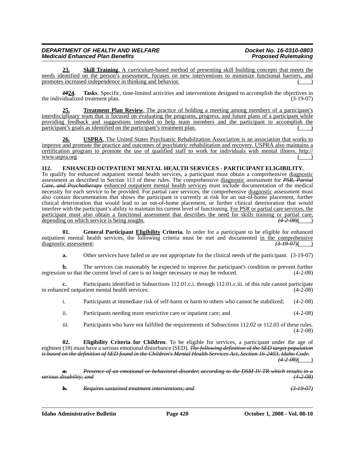# *DEPARTMENT OF HEALTH AND WELFARE Docket No. 16-0310-0803 Medicaid Enhanced Plan Benefits*

**23. Skill Training**. A curriculum-based method of presenting skill building concepts that meets the needs identified on the person's assessment, focuses on new interventions to minimize functional barriers, and promotes increased independence in thinking and behavior.

*10***24. Tasks**. Specific, time-limited activities and interventions designed to accomplish the objectives in the individualized treatment plan. (3-19-07)

**25. Treatment Plan Review**. The practice of holding a meeting among members of a participant's interdisciplinary team that is focused on evaluating the programs, progress, and future plans of a participant while providing feedback and suggestions intended to help team members and the participant to accomplish the participant's goals as identified on the participant's treatment plan.

**26. USPRA**[. The United States Psychiatric Rehabilitation Association is an association that works to](http://www.uspra.org) improve and promote the practice and outcomes of psychiatric rehabilitation and recovery. USPRA also maintains a [certification program to promote the use of qualified staff to work for individuals with mental illness. http://](http://www.uspra.org) www.uspra.org

# **112. ENHANCED OUTPATIENT MENTAL HEALTH SERVICES - PARTICIPANT ELIGIBILITY.**

To qualify for enhanced outpatient mental health services, a participant must obtain a comprehensive diagnostic assessment as described in Section 113 of these rules. The comprehensive diagnostic assessment for *PSR, Partial Care, and Psychotherapy* enhanced outpatient mental health services must include documentation of the medical necessity for each service to be provided. For partial care services, the comprehensive diagnostic assessment must also contain documentation that shows the participant is currently at risk for an out-of-home placement, further clinical deterioration that would lead to an out-of-home placement, or further clinical deterioration that would interfere with the participant's ability to maintain his current level of functioning. For PSR or partial care services, the participant must also obtain a functional assessment that describes the need for skills training or partial care, depending on which service is being sought. *(4-2-08)*( )

**01. General Participant Eligibility Criteria**. In order for a participant to be eligible for enhanced outpatient mental health services, the following criteria must be met and documented in the comprehensive diagnostic assessment:  $\left(3-19-07\right)($ diagnostic assessment: *(3-19-07)*( )

**a.** Other services have failed or are not appropriate for the clinical needs of the participant. (3-19-07)

**b.** The services can reasonably be expected to improve the participant's condition or prevent further regression so that the current level of care is no longer necessary or may be reduced. (4-2-08)

**c.** Participants identified in Subsections 112.01.c.i. through 112.01.c.iii. of this rule cannot participate in enhanced outpatient mental health services: (4-2-08)

i. Participants at immediate risk of self-harm or harm to others who cannot be stabilized; (4-2-08)

ii. Participants needing more restrictive care or inpatient care; and (4-2-08)

iii. Participants who have not fulfilled the requirements of Subsections 112.02 or 112.03 of these rules. (4-2-08)

**02. Eligibility Criteria for Children**. To be eligible for services, a participant under the age of eighteen (18) must have a serious emotional disturbance (SED). *The following definition of the SED target population is based on the definition of SED found in the Children's Mental Health Services Act, Section 16-2403, Idaho Code.*

*(4-2-08)*( )

*a. Presence of an emotional or behavioral disorder, according to the DSM-IV-TR which results in a serious disability; and (4-2-08)*

*b. Requires sustained treatment interventions; and (3-19-07)*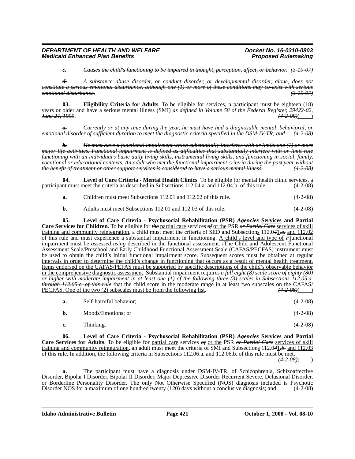*c. Causes the child's functioning to be impaired in thought, perception, affect, or behavior. (3-19-07)*

*d. A substance abuse disorder, or conduct disorder, or developmental disorder, alone, does not constitute a serious emotional disturbance, although one (1) or more of these conditions may co-exist with serious*   $emotional$  *disturbance*.

**03. Eligibility Criteria for Adults**. To be eligible for services, a participant must be eighteen (18) years or older and have a serious mental illness (SMI) *as defined in Volume 58 of the Federal Register, 29422-02, June 24, 1999*. *(4-2-08)*( )

*a. Currently or at any time during the year, he must have had a diagnosable mental, behavioral, or emotional disorder of sufficient duration to meet the diagnostic criteria specified in the DSM-IV-TR; and (4-2-08)*

*b. He must have a functional impairment which substantially interferes with or limits one (1) or more major life activities. Functional impairment is defined as difficulties that substantially interfere with or limit role functioning with an individual's basic daily living skills, instrumental living skills, and functioning in social, family, vocational or educational contexts. An adult who met the functional impairment criteria during the past year without the benefit of treatment or other support services is considered to have a serious mental illness. (4-2-08)*

**04. Level of Care Criteria - Mental Health Clinics**. To be eligible for mental health clinic services, a participant must meet the criteria as described in Subsections 112.04.a. and 112.04.b. of this rule. (4-2-08)

**a.** Children must meet Subsections 112.01 and 112.02 of this rule. (4-2-08)

**b.** Adults must meet Subsections 112.01 and 112.03 of this rule. (4-2-08)

**05. Level of Care Criteria - Psychosocial Rehabilitation (PSR)** *Agencies* **Services and Partial Care Services for Children**. To be eligible for *the* partial care services *of* or the PSR *or Partial Care* services of skill training and community reintegration, a child must meet the criteria of SED and Subsections 112.0*4*1*.a.* and 112.02 of this rule and must experience a substantial impairment in functioning. A child's level and type of *F*functional impairment must be *assessed using* described in the functional assessment. *t*The Child and Adolescent Functional Assessment Scale/Preschool and Early Childhood Functional Assessment Scale (CAFAS/PECFAS) instrument must be used to obtain the child's initial functional impairment score. Subsequent scores must be obtained at regular intervals in order to determine the child's change in functioning that occurs as a result of mental health treatment. Items endorsed on the CAFAS/PEFAS must be supported by specific descriptions of the child's observable behavior in the comprehensive diagnostic assessment. Substantial impairment requires *a full eight (8) scale score of eighty (80) or higher with moderate impairment in at least one (1) of the following three (3) scales in Subsections 112.05.a. through 112.05.c. of this rule* that the child score in the moderate range in at least two subscales on the CAFAS/<br>PECFAS. One of the two (2) <u>subscales must be from the following list</u>. (4–2–08)( PECFAS. One of the two (2) subscales must be from the following list.

| a. | Self-harmful behavior: | $(4-2-08)$ |
|----|------------------------|------------|
|----|------------------------|------------|

| b. | Moods/Emotions; or | $(4-2-08)$ |
|----|--------------------|------------|
| c. | Thinking.          | $(4-2-08)$ |

**06. Level of Care Criteria - Psychosocial Rehabilitation (PSR)** *Agencies* **Services and Partial Care Services for Adults**. To be eligible for partial care services *of* or the PSR *or Partial Care* services of skill training and community reintegration, an adult must meet the criteria of SMI and Subsections 112.0*4*1*.b.* and 112.03 of this rule. In addition, the following criteria in Subsections 112.06.a. and 112.06.b. of this rule must be met.

 $(4 - 2 - 08)$ 

**a.** The participant must have a diagnosis under DSM-IV-TR, of Schizophrenia, Schizoaffective Disorder, Bipolar I Disorder, Bipolar II Disorder, Major Depressive Disorder Recurrent Severe, Delusional Disorder, or Borderline Personality Disorder. The only Not Otherwise Specified (NOS) diagnosis included is Psychotic Disorder NOS for a maximum of one hundred twenty (120) days without a conclusive diagnosis; and (4-2-08)

**Idaho Administrative Bulletin Page 421 October 1, 2008 - Vol. 08-10**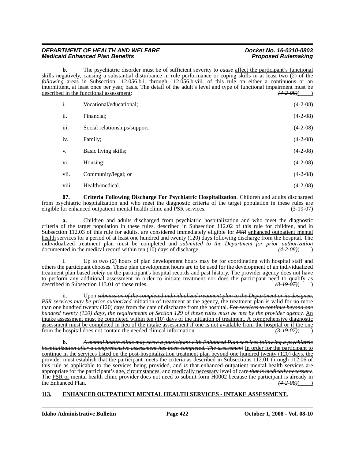# *DEPARTMENT OF HEALTH AND WELFARE Docket No. 16-0310-0803 Medicaid Enhanced Plan Benefits*

**b.** The psychiatric disorder must be of sufficient severity to *cause* affect the participant's functional skills negatively, causing a substantial disturbance in role performance or coping skills in at least two (2) of the *following* areas in Subsection 112.0*5*6.b.i. through 112.0*5*6.b.viii. of this rule on either a continuous or an intermittent, at least once per year, basis. The detail of the adult's level and type of functional impairment must be described in the functional assessment:  $(4-2-0.08)$  (4-2-08)

| i.    | Vocational/educational;       | $(4-2-08)$ |
|-------|-------------------------------|------------|
| ii.   | Financial:                    | $(4-2-08)$ |
| iii.  | Social relationships/support; | $(4-2-08)$ |
| iv.   | Family;                       | $(4-2-08)$ |
| V.    | Basic living skills;          | $(4-2-08)$ |
| vi.   | Housing;                      | $(4-2-08)$ |
| vii.  | Community/legal; or           | $(4-2-08)$ |
| viii. | Health/medical.               | $(4-2-08)$ |

**07. Criteria Following Discharge For Psychiatric Hospitalization**. Children and adults discharged from psychiatric hospitalization and who meet the diagnostic criteria of the target population in these rules are eligible for enhanced outpatient mental health clinic and PSR services. (3-19-07) eligible for enhanced outpatient mental health clinic and PSR services.

**a.** Children and adults discharged from psychiatric hospitalization and who meet the diagnostic criteria of the target population in these rules, described in Subsection 112.02 of this rule for children, and in Subsection 112.03 of this rule for adults, are considered immediately eligible for *PSR* enhanced outpatient mental health services for a period of at least one hundred and twenty (120) days following discharge from the hospital. The individualized treatment plan must be completed and *submitted to the Department for prior authorization* documented in the medical record within ten (10) days of discharge.

i. Up to two (2) hours of plan development hours may be for coordinating with hospital staff and others the participant chooses. These plan development hours are to be used for the development of an individualized treatment plan based *solely* on the participant's hospital records and past history. The provider agency does not have to perform any additional assessment <u>in order to initiate treatment</u> nor does the participant need to qualify as described in Subsection 113.01 of these rules.  $\left( \frac{3.19 \text{ } 0.07}{6.00 \text{ } \text{ } \text{ } \text{ } \text{ } \text{ } \text{ } \text{ } \text{$ described in Subsection 113.01 of these rules.

ii. Upon *submission of the completed individualized treatment plan to the Department or its designee, PSR services may be prior authorized* initiation of treatment at the agency, the treatment plan is valid for no more than one hundred twenty (120) days from the date of discharge from the hospital. *For services to continue beyond one hundred twenty (120) days, the requirements of Section 129 of these rules must be met by the provider agency.* An intake assessment must be completed within ten (10) days of the initiation of treatment. A comprehensive diagnostic assessment must be completed in lieu of the intake assessment if one is not available from the hospital or if the one from the hospital does not contain the needed clinical information.  $\left( \frac{3-19-07}{2} \right)$ from the hospital does not contain the needed clinical information.

**b.** *A mental health clinic may serve a participant with Enhanced Plan services following a psychiatric hospitalization after a comprehensive assessment has been completed. The assessment* In order for the participant to continue in the services listed on the post-hospitalization treatment plan beyond one hundred twenty (120) days, the provider must establish that the participant meets the criteria as described in Subsections 112.01 through 112.06 of this rule as applicable to the services being provided, and *is* that enhanced outpatient mental health services are appropriate for the participant's age, circumstances, and medically necessary level of care *that is medically necessary*. The PSR or mental health clinic provider does not need to submit form H0002 because the participant is already in the Enhanced Plan.  $(4-2-0.8)($ the Enhanced Plan. *(4-2-08)*( )

# **113. ENHANCED OUTPATIENT MENTAL HEALTH SERVICES - INTAKE ASSESSMENT.**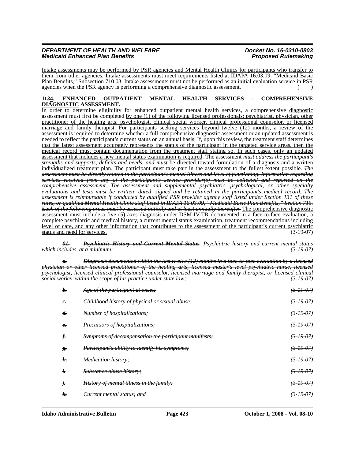# *DEPARTMENT OF HEALTH AND WELFARE Docket No. 16-0310-0803 Medicaid Enhanced Plan Benefits*

Intake assessments may be performed by PSR agencies and Mental Health Clinics for participants who transfer to them from other agencies. Intake assessments must meet requirements listed at IDAPA 16.03.09, "Medicaid Basic Plan Benefits," Subsection 710.03. Intake assessments must not be performed as an initial evaluation service in PSR agencies when the PSR agency is performing a comprehensive diagnostic assessment.

#### **11***3***4. ENHANCED OUTPATIENT MENTAL HEALTH SERVICES - COMPREHENSIVE DIAGNOSTIC ASSESSMENT.**

In order to determine eligibility for enhanced outpatient mental health services, a comprehensive diagnostic assessment must first be completed by one (1) of the following licensed professionals: psychiatrist, physician, other practitioner of the healing arts, psychologist, clinical social worker, clinical professional counselor, or licensed marriage and family therapist. For participants seeking services beyond twelve (12) months, a review of the assessment is required to determine whether a full comprehensive diagnostic assessment or an updated assessment is needed to reflect the participant's current status on an annual basis. If, upon this review, the treatment staff determines that the latest assessment accurately represents the status of the participant in the targeted service areas, then the medical record must contain documentation from the treatment staff stating so. In such cases, only an updated assessment that includes a new mental status examination is required. The assessment *must address the participant's strengths and supports, deficits and needs, and must* be directed toward formulation of a diagnosis and a written individualized treatment plan. The participant must take part in the assessment to the fullest extent possible. *The assessment must be directly related to the participant's mental illness and level of functioning. Information regarding services received from any of the participant's service provider(s) must be collected and reported on the comprehensive assessment. The assessment and supplemental psychiatric, psychological, or other specialty evaluations and tests must be written, dated, signed and be retained in the participant's medical record. The assessment is reimbursable if conducted by qualified PSR provider agency staff listed under Section 131 of these rules, or qualified Mental Health Clinic staff listed in IDAPA 16.03.09, "Medicaid Basic Plan Benefits," Section 715. Each of the following areas must be assessed initially and at least annually thereafter.* The comprehensive diagnostic assessment must include a five (5) axes diagnosis under DSM-IV-TR documented in a face-to-face evaluation, a complete psychiatric and medical history, a current mental status examination, treatment recommendations including level of care, and any other information that contributes to the assessment of the participant's current psychiatric status and need for services.

*01. Psychiatric History and Current Mental Status. Psychiatric history and current mental status which includes, at a minimum: (3-19-07)*

*a. Diagnosis documented within the last twelve (12) months in a face-to-face evaluation by a licensed physician or other licensed practitioner of the healing arts, licensed master's level psychiatric nurse, licensed psychologist, licensed clinical professional counselor, licensed marriage and family therapist, or licensed clinical social worker within the scope of his practice under state law:* 

| b.                     | Age of the participant at onset;                      | $(3-19-07)$          |
|------------------------|-------------------------------------------------------|----------------------|
| $e_{\overline{r}}$     | Childhood history of physical or sexual abuse;        | (3, 19, 07)          |
| $\boldsymbol{d}$       | Number of hospitalizations;                           | $(3-19-07)$          |
| $e_{\overline{\cdot}}$ | Precursors of hospitalizations;                       | $(3-19-07)$          |
| $\mathbf{f}$           | Symptoms of decompensation the participant manifests; | (3, 19, 07)          |
| g.                     | Participant's ability to identify his symptoms;       | $(3-19-07)$          |
| $h$ .                  | <b>Medication history;</b>                            | $(3-19-07)$          |
| t.                     | Substance abuse history;                              | (31907)              |
| j.                     | History of mental illness in the family;              | $(3-19-07)$          |
| k.                     | <del>Current mental status; and</del>                 | <del>(3-19-07)</del> |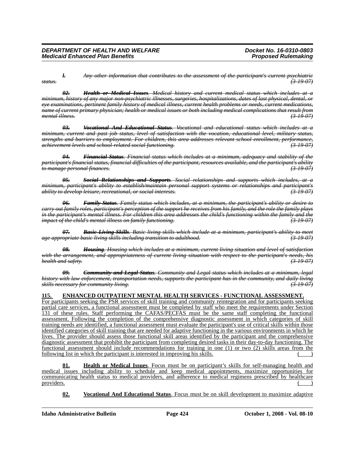*l. Any other information that contributes to the assessment of the participant's current psychiatric status. (3-19-07)*

*02. Health or Medical Issues. Medical history and current medical status which includes at a minimum, history of any major non-psychiatric illnesses, surgeries, hospitalizations, dates of last physical, dental, or eye examinations, pertinent family history of medical illness, current health problems or needs, current medications, name of current primary physician; health or medical issues or both including medical complications that result from mental illness. (3-19-07)*

*03. Vocational And Educational Status. Vocational and educational status which includes at a minimum, current and past job status, level of satisfaction with the vocation, educational level, military status, strengths and barriers to employment. For children, this area addresses relevant school enrollment, performance, achievement levels and school-related social functioning. (3-19-07)*

*04. Financial Status. Financial status which includes at a minimum, adequacy and stability of the participant's financial status, financial difficulties of the participant, resources available, and the participant's ability to manage personal finances. (3-19-07)*

*05. Social Relationships and Supports. Social relationships and supports which includes, at a minimum, participant's ability to establish/maintain personal support systems or relationships and participant's ability to develop leisure, recreational, or social interests. (3-19-07)*

*06. Family Status. Family status which includes, at a minimum, the participant's ability or desire to carry out family roles, participant's perception of the support he receives from his family, and the role the family plays in the participant's mental illness. For children this area addresses the child's functioning within the family and the impact of the child's mental illness on family functioning. (3-19-07)*

*07. Basic Living Skills. Basic living skills which include at a minimum, participant's ability to meet age appropriate basic living skills including transition to adulthood. (3-19-07)*

*08. Housing. Housing which includes at a minimum, current living situation and level of satisfaction with the arrangement, and appropriateness of current living situation with respect to the participant's needs, his health and safety.* 

*09. Community and Legal Status. Community and Legal status which includes at a minimum, legal history with law enforcement, transportation needs, supports the participant has in the community, and daily living skills necessary for community living. (3-19-07)*

# **115. ENHANCED OUTPATIENT MENTAL HEALTH SERVICES - FUNCTIONAL ASSESSMENT.**

For participants seeking the PSR services of skill training and community reintegration and for participants seeking partial care services, a functional assessment must be completed by staff who meet the requirements under Section 131 of these rules. Staff performing the CAFAS/PECFAS must be the same staff completing the functional assessment. Following the completion of the comprehensive diagnostic assessment in which categories of skill training needs are identified, a functional assessment must evaluate the participant's use of critical skills within those identified categories of skill training that are needed for adaptive functioning in the various environments in which he lives. The provider should assess those functional skill areas identified by the participant and the comprehensive diagnostic assessment that prohibit the participant from completing desired tasks in their day-to-day functioning. The functional assessment should include recommendations for training in one (1) or two (2) skills areas from the following list in which the participant is interested in improving his skills.

**01. Health or Medical Issues**. Focus must be on participant's skills for self-managing health and medical issues including ability to schedule and keep medical appointments, maximize opportunities for communicating health status to medical providers, and adherence to medical regimens prescribed by healthcare providers.  $($ 

**02. Vocational And Educational Status**. Focus must be on skill development to maximize adaptive

**Idaho Administrative Bulletin Page 424 October 1, 2008 - Vol. 08-10**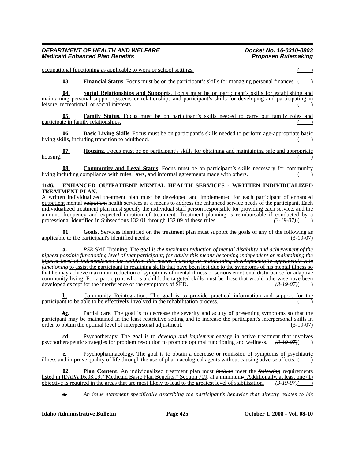### *DEPARTMENT OF HEALTH AND WELFARE Docket No. 16-0310-0803 Medicaid Enhanced Plan Benefits*

occupational functioning as applicable to work or school settings.

**03. Financial Status**. Focus must be on the participant's skills for managing personal finances. ( )

**04. Social Relationships and Supports**. Focus must be on participant's skills for establishing and maintaining personal support systems or relationships and participant's skills for developing and participating in leisure, recreational, or social interests.

**05. Family Status**. Focus must be on participant's skills needed to carry out family roles and participate in family relationships.

**06. Basic Living Skills**. Focus must be on participant's skills needed to perform age-appropriate basic living skills, including transition to adulthood.

**07. Housing**. Focus must be on participant's skills for obtaining and maintaining safe and appropriate  $h \text{ousing.}$ 

**08. Community and Legal Status**. Focus must be on participant's skills necessary for community living including compliance with rules, laws, and informal agreements made with others.

# **11***4***6. ENHANCED OUTPATIENT MENTAL HEALTH SERVICES - WRITTEN INDIVIDUALIZED TREATMENT PLAN.**

A written individualized treatment plan must be developed and implemented for each participant of enhanced outpatient mental *outpatient* health services as a means to address the enhanced service needs of the participant. Each individualized treatment plan must specify the individual staff person responsible for providing each service, and the amount, frequency and expected duration of treatment. Treatment planning is reimbursable if conducted by a professional identified in Subsections 132.01 through 132.09 of these rules.  $\left(3-19-07\right)$ professional identified in Subsections 132.01 through 132.09 of these rules.

**01. Goals**. Services identified on the treatment plan must support the goals of any of the following as applicable to the participant's identified needs: (3-19-07)

**a.** *PSR* Skill Training. The goal is *the maximum reduction of mental disability and achievement of the highest possible functioning level of that participant; for adults this means becoming independent or maintaining the highest level of independence; for children this means learning or maintaining developmentally appropriate role functioning* to assist the participant in regaining skills that have been lost due to the symptoms of his mental illness so that he may achieve maximum reduction of symptoms of mental illness or serious emotional disturbance for adaptive <u>community living. For a participant who is a child, the targeted skills must be those that would otherwise have been</u> developed except for the interference of the symptoms of SED.  $\overline{(3.19 \text{ } 07)}$ developed except for the interference of the symptoms of SED.

Community Reintegration. The goal is to provide practical information and support for the participant to be able to be effectively involved in the rehabilitation process.

*b***<sub>C</sub>.** Partial care. The goal is to decrease the severity and acuity of presenting symptoms so that the participant may be maintained in the least restrictive setting and to increase the participant's interpersonal skills in order to obtain the optimal level of interpersonal adjustment. (3-19-07)

*c***d.** Psychotherapy. The goal is to *develop and implement* engage in active treatment that involves psychotherapeutic strategies for problem resolution to promote optimal functioning and wellness. *(3-19-07)*( )

**e.** Psychopharmacology. The goal is to obtain a decrease or remission of symptoms of psychiatric illness and improve quality of life through the use of pharmacological agents without causing adverse affects.

**02. Plan Content**. An individualized treatment plan must *include* meet the *following* requirements listed in IDAPA 16.03.09, "Medicaid Basic Plan Benefits," Section 709, at a minimum: Additionally, at least one (1) objective is required in the areas that are most likely to lead to the greatest level of stabilization.  $\$ objective is required in the areas that are most likely to lead to the greatest level of stabilization. *(3-19-07)*( )

*a. An issue statement specifically describing the participant's behavior that directly relates to his*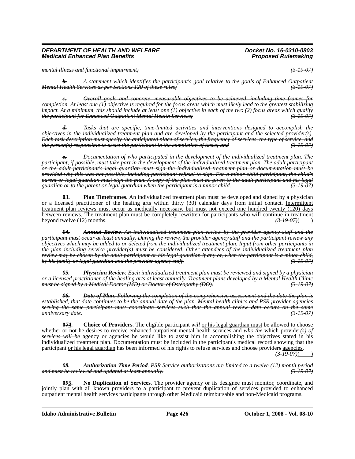*mental illness and functional impairment; (3-19-07)*

*b. A statement which identifies the participant's goal relative to the goals of Enhanced Outpatient Mental Health Services as per Sections 120 of these rules;* 

*c. Overall goals and concrete, measurable objectives to be achieved, including time frames for completion. At least one (1) objective is required for the focus areas which must likely lead to the greatest stabilizing impact. At a minimum, this should include at least one (1) objective in each of the two (2) focus areas which qualify the participant for Enhanced Outpatient Mental Health Services; (3-19-07)*

*d. Tasks that are specific, time-limited activities and interventions designed to accomplish the objectives in the individualized treatment plan and are developed by the participant and the selected provider(s). Each task description must specify the anticipated place of service, the frequency of services, the type of service, and the person(s) responsible to assist the participant in the completion of tasks; and (3-19-07)*

*e. Documentation of who participated in the development of the individualized treatment plan. The participant, if possible, must take part in the development of the individualized treatment plan. The adult participant or the adult participant's legal guardian must sign the individualized treatment plan or documentation must be provided why this was not possible, including participant refusal to sign. For a minor child participant, the child's parent or legal guardian must sign the plan. A copy of the plan must be given to the adult participant and his legal guardian or to the parent or legal guardian when the participant is a minor child. (3-19-07)*

**03. Plan Timeframes**. An individualized treatment plan must be developed and signed by a physician or a licensed practitioner of the healing arts within thirty (30) calendar days from initial contact. Intermittent treatment plan reviews must occur as medically necessary, but must not exceed one hundred twenty (120) days between reviews. The treatment plan must be completely rewritten for participants who will continue in treatment beyond twelve (12) months. *(3-19-07)*( )

*04. Annual Review. An individualized treatment plan review by the provider agency staff and the participant must occur at least annually. During the review, the provider agency staff and the participant review any objectives which may be added to or deleted from the individualized treatment plan. Input from other participants in the plan including service provider(s) must be considered. Other attendees of the individualized treatment plan review may be chosen by the adult participant or his legal guardian if any or, when the participant is a minor child, by his family or legal guardian and the provider agency staff. (3-19-07)*

*05. Physician Review. Each individualized treatment plan must be reviewed and signed by a physician or a licensed practitioner of the healing arts at least annually. Treatment plans developed by a Mental Health Clinic must be signed by a Medical Doctor (MD) or Doctor of Osteopathy (DO).* 

*06. Date of Plan. Following the completion of the comprehensive assessment and the date the plan is established, that date continues to be the annual date of the plan. Mental health clinics and PSR provider agencies serving the same participant must coordinate services such that the annual review date occurs on the same anniversary date. (3-19-07)*

**074.** Choice of Providers. The eligible participant *will* or his legal guardian must be allowed to choose whether or not he desires to receive enhanced outpatient mental health services and who the which provider(s) of *services will be* agency or agencies he would like to assist him in accomplishing the objectives stated in his individualized treatment plan. Documentation must be included in the participant's medical record showing that the participant or his legal guardian has been informed of his rights to refuse services and choose provider*s* agencies. *(3-19-07)*( )

#### *08. Authorization Time Period. PSR Service authorizations are limited to a twelve (12) month period and must be reviewed and updated at least annually. (3-19-07)*

**0***9***5. No Duplication of Services**. The provider agency or its designee must monitor, coordinate, and jointly plan with all known providers to a participant to prevent duplication of services provided to enhanced outpatient mental health services participants through other Medicaid reimbursable and non-Medicaid programs.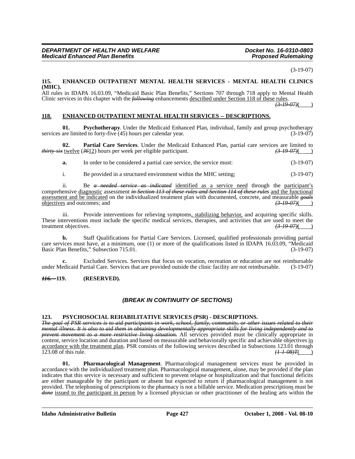(3-19-07)

# **115. ENHANCED OUTPATIENT MENTAL HEALTH SERVICES - MENTAL HEALTH CLINICS (MHC).**

All rules in IDAPA 16.03.09, "Medicaid Basic Plan Benefits," Sections 707 through 718 apply to Mental Health Clinic services in this chapter with the *following* enhancements described under Section 118 of these rules.

 $\sqrt{(3-19-07)}$ ( )

# **118. ENHANCED OUTPATIENT MENTAL HEALTH SERVICES -- DESCRIPTIONS.**

**01. Psychotherapy**. Under the Medicaid Enhanced Plan, individual, family and group psychotherapy services are limited to forty-five (45) hours per calendar year.  $(3-19-07)$ 

**02. Partial Care Services**. Under the Medicaid Enhanced Plan, partial care services are limited to *thirty-six* twelve (*36*12) hours per week per eligible participant. *(3-19-07)*( )

**a.** In order to be considered a partial care service, the service must: (3-19-07)

i. Be provided in a structured environment within the MHC setting; (3-19-07)

ii. Be *a needed service as indicated* identified as a service need through the participant's comprehensive diagnostic assessment *in Section 113 of these rules and Section 114 of these rules* and the functional assessment and be indicated on the individualized treatment plan with documented, concrete, and measurable *goals* objectives and outcomes; and *(3-19-07)*( )

iii. Provide interventions for relieving symptoms, stabilizing behavior, and acquiring specific skills. These interventions must include the specific medical services, therapies, and activities that are used to meet the treatment objectives.<br> $\left(3-19-07\right)$ treatment objectives. *(3-19-07)*( )

**b.** Staff Qualifications for Partial Care Services. Licensed, qualified professionals providing partial care services must have, at a minimum, one (1) or more of the qualifications listed in IDAPA 16.03.09, "Medicaid Basic Plan Benefits," Subsection 715.01. (3-19-07)

**c.** Excluded Services. Services that focus on vocation, recreation or education are not reimbursable edicaid Partial Care. Services that are provided outside the clinic facility are not reimbursable. (3-19-07) under Medicaid Partial Care. Services that are provided outside the clinic facility are not reimbursable.

#### *116. -* **119. (RESERVED).**

# *(BREAK IN CONTINUITY OF SECTIONS)*

# **123. PSYCHOSOCIAL REHABILITATIVE SERVICES (PSR) - DESCRIPTIONS.**

*The goal of PSR services is to aid participants in work, school, family, community, or other issues related to their mental illness. It is also to aid them in obtaining developmentally appropriate skills for living independently and to prevent movement to a more restrictive living situation.* All services provided must be clinically appropriate in content, service location and duration and based on measurable and behaviorally specific and achievable objectives in <u>accordance with the treatment plan</u>. PSR consists of the following services described in Subsections 123.01 through  $\frac{123.08}{44.08}$  ( $\frac{1}{44.08}$ ) 123.08 of this rule.

**01. Pharmacological Management**. Pharmacological management services must be provided in accordance with the individualized treatment plan. Pharmacological management, alone, may be provided if the plan indicates that this service is necessary and sufficient to prevent relapse or hospitalization and that functional deficits are either manageable by the participant or absent but expected to return if pharmacological management is not provided. The telephoning of prescriptions to the pharmacy is not a billable service. Medication prescriptions must be *done* issued to the participant in person by a licensed physician or other practitioner of the healing arts within the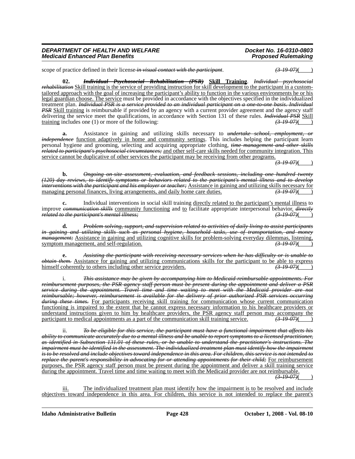scope of practice defined in their license *in visual contact with the participant*.  $(3-19-07)($ 

**02.** *Individual Psychosocial Rehabilitation (PSR)* **Skill Training**. *Individual psychosocial rehabilitation* Skill training is the service of providing instruction for skill development to the participant in a customtailored approach with the goal of increasing the participant's ability to function in the various environments he or his legal guardian choose. The service must be provided in accordance with the objectives specified in the individualized treatment plan. *Individual PSR is a service provided to an individual participant on a one-to-one basis. Individual PSR* Skill training is reimbursable if provided by an agency with a current provider agreement and the agency staff delivering the service meet the qualifications, in accordance with Section 131 of these rules. *Individual PSR* Skill training includes one (1) or more of the following:<br>
(3-19-07) training includes one (1) or more of the following:

**a.** Assistance in gaining and utilizing skills necessary to *undertake school, employment, or independence* function adaptively in home and community settings. This includes helping the participant learn personal hygiene and grooming, selecting and acquiring appropriate clothing, *time management and other skills related to participant's psychosocial circumstances;* and other self-care skills needed for community integration. This service cannot be duplicative of other services the participant may be receiving from other programs.

*(3-19-07)*( )

**b.** *Ongoing on-site assessment, evaluation, and feedback sessions, including one hundred twenty (120) day reviews, to identify symptoms or behaviors related to the participant's mental illness and to develop interventions with the participant and his employer or teacher;* Assistance in gaining and utilizing skills necessary for managing personal finances. Iiving arrangements, and daily home care duties.  $\overline{(3-19.07)}$ managing personal finances, living arrangements, and daily home care duties.

**c.** Individual interventions in social skill training directly related to the participant's mental illness to improve *communication skills* community functioning and to facilitate appropriate interpersonal behavior. *directly related to the participant's mental illness;* 

**d.** *Problem solving, support, and supervision related to activities of daily living to assist participants in gaining and utilizing skills such as personal hygiene, household tasks, use of transportation, and money management;* Assistance in gaining and utilizing cognitive skills for problem-solving everyday dilemmas, listening,<br>symptom management, and self-regulation. symptom management, and self-regulation.

**e.** *Assisting the participant with receiving necessary services when he has difficulty or is unable to obtain them.* Assistance for gaining and utilizing communications skills for the participant to be able to express himself coherently to others including other service providers. himself coherently to others including other service providers.

i. *This assistance may be given by accompanying him to Medicaid-reimbursable appointments. For reimbursement purposes, the PSR agency staff person must be present during the appointment and deliver a PSR service during the appointment. Travel time and time waiting to meet with the Medicaid provider are not reimbursable; however, reimbursement is available for the delivery of prior authorized PSR services occurring during these times.* For participants receiving skill training for communication whose current communication functioning is impaired to the extent that he cannot express necessary information to his healthcare providers or understand instructions given to him by healthcare providers, the PSR agency staff person may accompany the participant to medical appointments as a part of the communication skill training service.  $\left(3\frac{19}{9}\right)$ participant to medical appointments as a part of the communication skill training service.

ii. *To be eligible for this service, the participant must have a functional impairment that affects his ability to communicate accurately due to a mental illness and be unable to report symptoms to a licensed practitioner, as identified in Subsection 131.01 of these rules, or be unable to understand the practitioner's instructions. The impairment must be identified in the assessment. The individualized treatment plan must identify how the impairment is to be resolved and include objectives toward independence in this area. For children, this service is not intended to replace the parent's responsibility in advocating for or attending appointments for their child;* For reimbursement purposes, the PSR agency staff person must be present during the appointment and deliver a skill training service during the appointment. Travel time and time waiting to meet with the Medicaid provider are not reimbursable.

*(3-19-07)*( )

iii. The individualized treatment plan must identify how the impairment is to be resolved and include objectives toward independence in this area. For children, this service is not intended to replace the parent's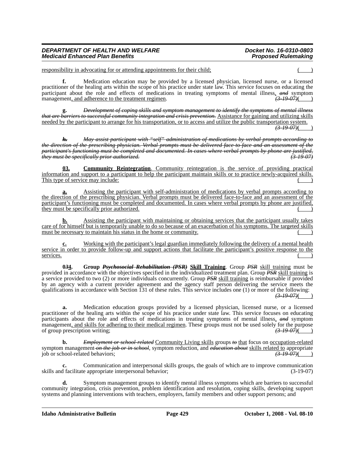# *DEPARTMENT OF HEALTH AND WELFARE Docket No. 16-0310-0803 Medicaid Enhanced Plan Benefits*

responsibility in advocating for or attending appointments for their child;

**f.** Medication education may be provided by a licensed physician, licensed nurse, or a licensed practitioner of the healing arts within the scope of his practice under state law. This service focuses on educating the participant about the role and effects of medications in treating symptoms of mental illness, *and* symptom management, and adherence to the treatment regimen. management, and adherence to the treatment regimen.

**g.** *Development of coping skills and symptom management to identify the symptoms of mental illness that are barriers to successful community integration and crisis prevention.* Assistance for gaining and utilizing skills needed by the participant to arrange for his transportation, or to access and utilize the public transportation system.

*(3-19-07)*( )

*h. May assist participant with "self" administration of medications by verbal prompts according to the direction of the prescribing physician. Verbal prompts must be delivered face-to-face and an assessment of the participant's functioning must be completed and documented. In cases where verbal prompts by phone are justified, they must be specifically prior authorized. (3-19-07)*

**03. Community Reintegration**. Community reintegration is the service of providing practical information and support to a participant to help the participant maintain skills or to practice newly-acquired skills. This type of service may include:

**a.** Assisting the participant with self-administration of medications by verbal prompts according to the direction of the prescribing physician. Verbal prompts must be delivered face-to-face and an assessment of the participant's functioning must be completed and documented. In cases where verbal prompts by phone are justified, they must be specifically prior authorized.

**b.** Assisting the participant with maintaining or obtaining services that the participant usually takes care of for himself but is temporarily unable to do so because of an exacerbation of his symptoms. The targeted skills must be necessary to maintain his status in the home or community.

**c.** Working with the participant's legal guardian immediately following the delivery of a mental health service in order to provide follow-up and support actions that facilitate the participant's positive response to the  $s$ ervices. ( $\qquad$ )

**0***3***4. Group** *Psychosocial Rehabilitation (PSR)* **Skill Training**. Group *PSR* skill training must be provided in accordance with the objectives specified in the individualized treatment plan. Group *PSR* skill training is a service provided to two (2) or more individuals concurrently. Group *PSR* skill training is reimbursable if provided by an agency with a current provider agreement and the agency staff person delivering the service meets the qualifications in accordance with Section 131 of these rules. This service includes one (1) or more of the following:  $(3-19-07)$ ( $\qquad$ )

**a.** Medication education groups provided by a licensed physician, licensed nurse, or a licensed practitioner of the healing arts within the scope of his practice under state law. This service focuses on educating participants about the role and effects of medications in treating symptoms of mental illness, *and* symptom management, and skills for adhering to their medical regimen. These groups must not be used solely for the purpose of group prescription writing:  $\left( \frac{3-19-07}{2} \right)$ of group prescription writing; *(3-19-07)*( )

**b.** *Employment or school-related* Community Living skills groups *to* that focus on occupation-related symptom management on the job or in school, symptom reduction, and *education about* skills related to appropriate<br>job or school-related behaviors; job or school-related behaviors;

**c.** Communication and interpersonal skills groups, the goals of which are to improve communication skills and facilitate appropriate interpersonal behavior; (3-19-07)

**d.** Symptom management groups to identify mental illness symptoms which are barriers to successful community integration, crisis prevention, problem identification and resolution, coping skills, developing support systems and planning interventions with teachers, employers, family members and other support persons; and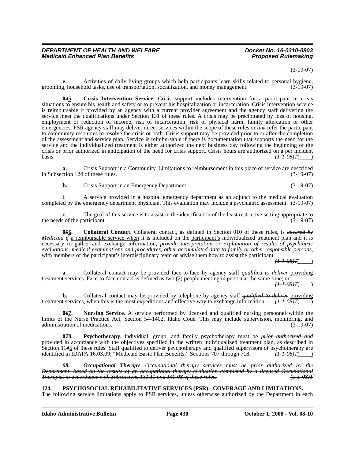#### (3-19-07)

**e.** Activities of daily living groups which help participants learn skills related to personal hygiene, grooming, household tasks, use of transportation, socialization, and money management. (3-19-07)

**0***4***5. Crisis Intervention Service**. Crisis support includes intervention for a participant in crisis situations to ensure his health and safety or to prevent his hospitalization or incarceration. Crisis intervention service is reimbursable if provided by an agency with a current provider agreement and the agency staff delivering the service meet the qualifications under Section 131 of these rules. A crisis may be precipitated by loss of housing, employment or reduction of income, risk of incarceration, risk of physical harm, family altercation or other emergencies. PSR agency staff may deliver direct services within the scope of these rules or *link* refer the participant to community resources to resolve the crisis or both. Crisis support may be provided prior to or after the completion of the assessment and service plan. Service is reimbursable if there is documentation that supports the need for the service and the individualized treatment is either authorized the next business day following the beginning of the crisis or prior authorized in anticipation of the need for crisis support. Crisis hours are authorized on a per incident basis.<br> $\left(\frac{I - I - 0.08}{I}\right)$ basis. *(1-1-08)T*( )

**a.** Crisis Support in a Community. Limitations to reimbursement in this place of service are described in Subsection 124 of these rules. (3-19-07)

**b.** Crisis Support in an Emergency Department. (3-19-07)

i. A service provided in a hospital emergency department as an adjunct to the medical evaluation completed by the emergency department physician. This evaluation may include a psychiatric assessment. (3-19-07)

ii. The goal of this service is to assist in the identification of the least restrictive setting appropriate to the needs of the participant. (3-19-07)

**0***5***6. Collateral Contact**. Collateral contact, as defined in Section 010 of these rules, is *covered by Medicaid if* a reimbursable service when it is included on the participant's individualized treatment plan and it is necessary to gather and exchange information*, provide interpretation or explanation of results of psychiatric evaluations, medical examinations and procedures, other accumulated data to family or other responsible persons,* with members of the participant's interdisciplinary team or advise them how to assist the participant.

*(1-1-08)T*( )

**a.** Collateral contact may be provided face-to-face by agency staff *qualified to deliver* providing treatment services. Face-to-face contact is defined as two (2) people meeting in person at the same time; or  $(11.08)T($ 

**b.** Collateral contact may be provided by telephone by agency staff *qualified to deliver* providing treatment services, when this is the most expeditious and effective way to exchange information.  $(1+1.08)T($ 

**0***6***7. Nursing Service**. A service performed by licensed and qualified nursing personnel within the limits of the Nurse Practice Act, Section 54-1402, Idaho Code. This may include supervision, monitoring, and administration of medications. (3-19-07)

**0***7***8. Psychotherapy**. Individual, group, and family psychotherapy must be *prior authorized and* provided in accordance with the objectives specified in the written individualized treatment plan, as described in Section 11*4*5 of these rules. Staff qualified to deliver psychotherapy and qualified supervisors of psychotherapy are identified in IDAPA 16.03.09, "Medicaid Basic Plan Benefits," Sections 707 through 718. *(1 1 08)T*(

*08. Occupational Therapy. Occupational therapy services must be prior authorized by the Department, based on the results of an occupational therapy evaluation completed by a licensed Occupational Therapist in accordance with Subsections 131.11 and 140.08 of these rules.* 

**124. PSYCHOSOCIAL REHABILITATIVE SERVICES (PSR) - COVERAGE AND LIMITATIONS.** 

The following service limitations apply to PSR services, unless otherwise authorized by the Department in each

**Idaho Administrative Bulletin Page 430 October 1, 2008 - Vol. 08-10**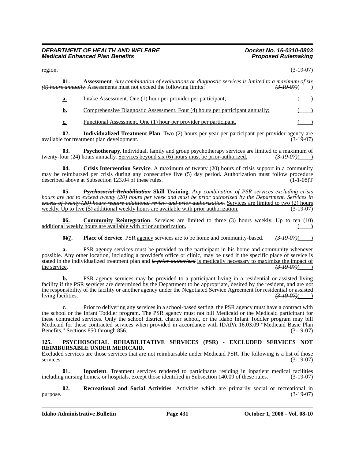#### *DEPARTMENT OF HEALTH AND WELFARE Docket No. 16-0310-0803 Medicaid Enhanced Plan Benefits*

region. (3-19-07)

| 01.       | Assessment. Any combination of evaluations or diagnostic services is limited to a maximum of six<br>(6) hours annually. Assessments must not exceed the following limits: |  |
|-----------|---------------------------------------------------------------------------------------------------------------------------------------------------------------------------|--|
| <u>a.</u> | Intake Assessment. One (1) hour per provider per participant;                                                                                                             |  |
| b.        | Comprehensive Diagnostic Assessment. Four (4) hours per participant annually;                                                                                             |  |
| c.        | Functional Assessment. One (1) hour per provider per participant.                                                                                                         |  |

**02.** Individualized Treatment Plan. Two (2) hours per year per participant per provider agency are for treatment plan development. available for treatment plan development.

**03. Psychotherapy**. Individual, family and group psychotherapy services are limited to a maximum of our (24) hours annually. Services beyond six (6) hours must be prior-authorized.  $\left(3\text{-}19\text{-}07\right)$  (3) twenty-four (24) hours annually. Services beyond six (6) hours must be prior-authorized.

**04. Crisis Intervention Service**. A maximum of twenty (20) hours of crisis support in a community may be reimbursed per crisis during any consecutive five (5) day period. Authorization must follow procedure described above at Subsection 123.04 of these rules. (1-1-08)T

**05.** *Psychosocial Rehabilitation* **Skill Training**. *Any combination of PSR services excluding crisis hours are not to exceed twenty (20) hours per week and must be prior authorized by the Department. Services in excess of twenty (20) hours require additional review and prior authorization.* Services are limited to two (2) hours weekly. Up to five (5) additional weekly hours are available with prior authorization. (3-19-07)

**06. Community Reintegration**. Services are limited to three (3) hours weekly. Up to ten (10) additional weekly hours are available with prior authorization.

**067.** Place of Service. PSR agency services are to be home and community-based.  $(3-19-07)$ 

**a.** PSR agency services must be provided to the participant in his home and community whenever possible. Any other location, including a provider's office or clinic, may be used if the specific place of service is stated in the individualized treatment plan and *is prior authorized* is medically necessary to maximize the impact of the service.<br>
(3.49.07) the service. *(3-19-07)*( )

**b.** PSR agency services may be provided to a participant living in a residential or assisted living facility if the PSR services are determined by the Department to be appropriate, desired by the resident, and are not the responsibility of the facility or another agency under the Negotiated Service Agreement for residential or assisted<br>living facilities.  $\left( \frac{3-19-07}{2} \right)$ living facilities.

**c.** Prior to delivering any services in a school-based setting, the PSR agency must have a contract with the school or the Infant Toddler program. The PSR agency must not bill Medicaid or the Medicaid participant for these contracted services. Only the school district, charter school, or the Idaho Infant Toddler program may bill Medicaid for these contracted services when provided in accordance with IDAPA 16.03.09 "Medicaid Basic Plan Benefits," Sections 850 through 856. (3-19-07) Benefits," Sections 850 through 856.

#### **125. PSYCHOSOCIAL REHABILITATIVE SERVICES (PSR) - EXCLUDED SERVICES NOT REIMBURSABLE UNDER MEDICAID.**

Excluded services are those services that are not reimbursable under Medicaid PSR. The following is a list of those services: (3-19-07)

**01. Inpatient**. Treatment services rendered to participants residing in inpatient medical facilities including nursing homes, or hospitals, except those identified in Subsection 140.09 of these rules. (3-19-07)

**02. Recreational and Social Activities**. Activities which are primarily social or recreational in  $purpose.$  (3-19-07)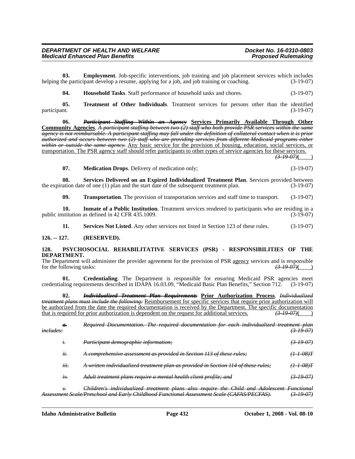**03. Employment**. Job-specific interventions, job training and job placement services which includes helping the participant develop a resume, applying for a job, and job training or coaching. (3-19-07)

**04. Household Tasks**. Staff performance of household tasks and chores. (3-19-07)

**05.** Treatment of Other Individuals. Treatment services for persons other than the identified participant. (3-19-07) participant. (3-19-07)

**06.** *Participant Staffing Within an Agency* **Services Primarily Available Through Other Community Agencies**. *A participant staffing between two (2) staff who both provide PSR services within the same agency is not reimbursable. A participant staffing may fall under the definition of collateral contact when it is prior authorized and occurs between two (2) staff who are providing services from different Medicaid programs either within or outside the same agency.* Any basic service for the provision of housing, education, social services, or transportation. The PSR agency staff should refer participants to other types of service agencies for these services.

*(3-19-07)*( )

| 07. | <b>Medication Drops.</b> Delivery of medication only; | $(3-19-07)$ |
|-----|-------------------------------------------------------|-------------|
|     |                                                       |             |

**08. Services Delivered on an Expired Individualized Treatment Plan**. Services provided between the expiration date of one (1) plan and the start date of the subsequent treatment plan. (3-19-07)

**09. Transportation**. The provision of transportation services and staff time to transport. (3-19-07)

**10. Inmate of a Public Institution**. Treatment services rendered to participants who are residing in a stitution as defined in 42 CFR 435.1009. public institution as defined in 42 CFR 435.1009.

**11. Services Not Listed**. Any other services not listed in Section 123 of these rules. (3-19-07)

#### **126. -- 127. (RESERVED).**

#### **128. PSYCHOSOCIAL REHABILITATIVE SERVICES (PSR) - RESPONSIBILITIES OF THE DEPARTMENT.**

The Department will administer the provider agreement for the provision of PSR <u>agency</u> services and is responsible for the following tasks:<br>  $\left(3.19.07\right)$ for the following tasks:

**01. Credentialing**. The Department is responsible for ensuring Medicaid PSR agencies meet credentialing requirements described in IDAPA 16.03.09, "Medicaid Basic Plan Benefits," Section 712. (3-19-07)

**02.** *Individualized Treatment Plan Requirements* **Prior Authorization Process**. *Individualized treatment plans must include the following:* Reimbursement for specific services that require prior authorization will be authorized from the date the required documentation is received by the Department. The specific documentation that is required for prior authorization is dependent on the request for additional services. *(3-19-07)*( )

| $\theta$ .<br>i <del>ncludes:</del> | The required documentation for each individualized treatment plan<br>Required Documentation.                                                                                                                                                     | <del>(3-19-07)</del>  |
|-------------------------------------|--------------------------------------------------------------------------------------------------------------------------------------------------------------------------------------------------------------------------------------------------|-----------------------|
| $t$ .                               | Participant demographic information;                                                                                                                                                                                                             | $(3-19-07)$           |
| ü.                                  | A comprehensive assessment as provided in Section 113 of these rules;                                                                                                                                                                            | !-08)T                |
| iii.                                | A written individualized treatment plan as provided in Section 114 of these rules;                                                                                                                                                               | 4-1-08)F              |
| $t\mathcal{V}$ .                    | Adult treatment plans require a mental health client profile; and                                                                                                                                                                                | <del>(3-19-07)</del>  |
| ν.                                  | Children's individualized treatment plans also require the Child and Adolescent Functional<br>and Early Childhood Eunctional Assessment Soals (CAEAS/DECEAS)<br><del>ана шату Спиа</del><br><del>чтенона Аззеззтен земе (СА1719/1 LC17197.</del> | (2, 10, 07)<br>72 VI. |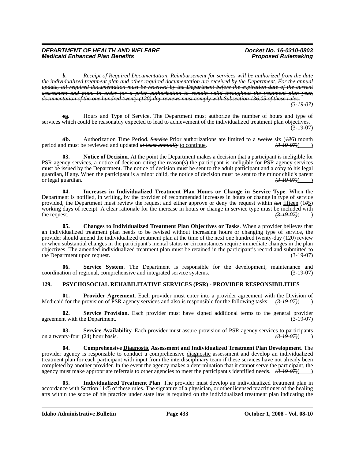*b. Receipt of Required Documentation. Reimbursement for services will be authorized from the date the individualized treatment plan and other required documentation are received by the Department. For the annual update, all required documentation must be received by the Department before the expiration date of the current assessment and plan. In order for a prior authorization to remain valid throughout the treatment plan year, documentation of the one hundred twenty (120) day reviews must comply with Subsection 136.05 of these rules. (3-19-07)*

*c***a.** Hours and Type of Service. The Department must authorize the number of hours and type of services which could be reasonably expected to lead to achievement of the individualized treatment plan objectives. (3-19-07)

*d***b.** Authorization Time Period. *Service* <u>Prior</u> authorizations are limited to a *twelve* six (*126*) month and must be reviewed and updated *at least annually* to continue. period and must be reviewed and updated *at least annually* to continue.

**03. Notice of Decision**. At the point the Department makes a decision that a participant is ineligible for PSR agency services, a notice of decision citing the reason(s) the participant is ineligible for PSR agency services must be issued by the Department. The notice of decision must be sent to the adult participant and a copy to his legal guardian, if any. When the participant is a minor child, the notice of decision must be sent to the minor child's parent or legal guardian. *(3-19-07)*( )

**04. Increases in Individualized Treatment Plan Hours or Change in Service Type**. When the Department is notified, in writing, by the provider of recommended increases in hours or change in type of service provided, the Department must review the request and either approve or deny the request within *ten* fifteen (1*0*5) working days of receipt. A clear rationale for the increase in hours or change in service type must be included with the request.  $\left(3.19 \times 0.7\right)$  (3.19.07)( )

**05. Changes to Individualized Treatment Plan Objectives or Tasks**. When a provider believes that an individualized treatment plan needs to be revised without increasing hours or changing type of service, the provider should amend the individualized treatment plan at the time of the next one hundred twenty-day (120) review or when substantial changes in the participant's mental status or circumstances require immediate changes in the plan objectives. The amended individualized treatment plan must be retained in the participant's record and submitted to the Department upon request. (3-19-07)

**06. Service System**. The Department is responsible for the development, maintenance and coordination of regional, comprehensive and integrated service systems. (3-19-07)

# **129. PSYCHOSOCIAL REHABILITATIVE SERVICES (PSR) - PROVIDER RESPONSIBILITIES**

**01. Provider Agreement**. Each provider must enter into a provider agreement with the Division of Medicaid for the provision of PSR agency services and also is responsible for the following tasks: *(3-19-07)*( )

**02.** Service Provision. Each provider must have signed additional terms to the general provider nt with the Department. (3-19-07) agreement with the Department.

**03. Service Availability**. Each provider must assure provision of PSR agency services to participants on a twenty-four (24) hour basis. *(3-19-07)*( )

**04. Comprehensive Diagnostic Assessment and Individualized Treatment Plan Development**. The provider agency is responsible to conduct a comprehensive diagnostic assessment and develop an individualized treatment plan for each participant with input from the interdisciplinary team if these services have not already been completed by another provider. In the event the agency makes a determination that it cannot serve the participant, the agency must make appropriate referrals to other agencies to meet the participant's identified needs. *(3-19-07)*( )

**05. Individualized Treatment Plan**. The provider must develop an individualized treatment plan in accordance with Section 11*4*5 of these rules. The signature of a physician, or other licensed practitioner of the healing arts within the scope of his practice under state law is required on the individualized treatment plan indicating the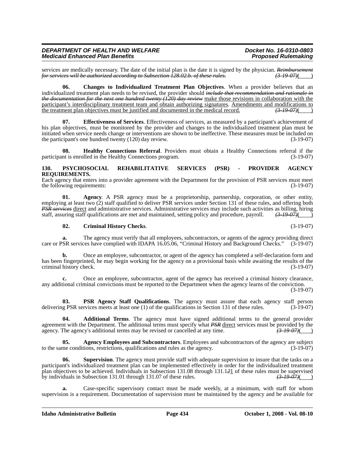services are medically necessary. The date of the initial plan is the date it is signed by the physician. *Reimbursement for services will be authorized according to Subsection 128.02.b. of these rules.* (3.19.07) *for services will be authorized according to Subsection 128.02.b. of these rules.* 

**06. Changes to Individualized Treatment Plan Objectives**. When a provider believes that an individualized treatment plan needs to be revised, the provider should *include that recommendation and rationale in the documentation for the next one hundred twenty (120) day review* make those revisions in collaboration with the participant's interdisciplinary treatment team and obtain authorizing signatures. Amendments and modifications to the treatment plan objectives must be justified and documented in the medical record.  $\left(3\frac{19}{9}\right)$ the treatment plan objectives must be justified and documented in the medical record.  $\left(3\frac{19}{9}\right)$  ( $\left(3\frac{19}{9}\right)$ 

**07. Effectiveness of Services**. Effectiveness of services, as measured by a participant's achievement of his plan objectives, must be monitored by the provider and changes to the individualized treatment plan must be initiated when service needs change or interventions are shown to be ineffective. These measures must be included on the participant's one hundred twenty (120) day review. the participant's one hundred twenty  $(120)$  day review.

**08. Healthy Connections Referral**. Providers must obtain a Healthy Connections referral if the participant is enrolled in the Healthy Connections program. (3-19-07)

### **130. PSYCHOSOCIAL REHABILITATIVE SERVICES (PSR) - PROVIDER AGENCY REQUIREMENTS.**

Each agency that enters into a provider agreement with the Department for the provision of PSR services must meet the following requirements:  $(3-19-07)$ 

**01. Agency**. A PSR agency must be a proprietorship, partnership, corporation, or other entity, employing at least two (2) staff qualified to deliver PSR services under Section 131 of these rules, and offering both *PSR services* direct and administrative services. Administrative services may include such activities as billing, hiring staff, assuring staff qualifications are met and maintained, setting policy and procedure, payroll. staff, assuring staff qualifications are met and maintained, setting policy and procedure, payroll.

#### **02. Criminal History Checks**. (3-19-07)

**a.** The agency must verify that all employees, subcontractors, or agents of the agency providing direct care or PSR services have complied with IDAPA 16.05.06, "Criminal History and Background Checks." (3-19-07)

**b.** Once an employee, subcontractor, or agent of the agency has completed a self-declaration form and has been fingerprinted, he may begin working for the agency on a provisional basis while awaiting the results of the criminal history check. (3-19-07)

**c.** Once an employee, subcontractor, agent of the agency has received a criminal history clearance, any additional criminal convictions must be reported to the Department when the agency learns of the conviction.

(3-19-07)

**03. PSR Agency Staff Qualifications**. The agency must assure that each agency staff person delivering PSR services meets at least one (1) of the qualifications in Section 131 of these rules. (3-19-07)

**04. Additional Terms**. The agency must have signed additional terms to the general provider agreement with the Department. The additional terms must specify what *PSR* direct services must be provided by the agency. The agency's additional terms may be revised or cancelled at any time.  $(3-19-07)()$ agency. The agency's additional terms may be revised or cancelled at any time.

**05. Agency Employees and Subcontractors**. Employees and subcontractors of the agency are subject to the same conditions, restrictions, qualifications and rules as the agency. (3-19-07)

**06. Supervision**. The agency must provide staff with adequate supervision to insure that the tasks on a participant's individualized treatment plan can be implemented effectively in order for the individualized treatment plan objectives to be achieved. Individuals in Subsection 131.08 through 131.121 of these rules must be supervised<br>by individuals in Subsection 131.01 through 131.07 of these rules.  $\frac{(3-19-07)()}{(3-19-07)(}$ by individuals in Subsection 131.01 through 131.07 of these rules.

**a.** Case-specific supervisory contact must be made weekly, at a minimum, with staff for whom supervision is a requirement. Documentation of supervision must be maintained by the agency and be available for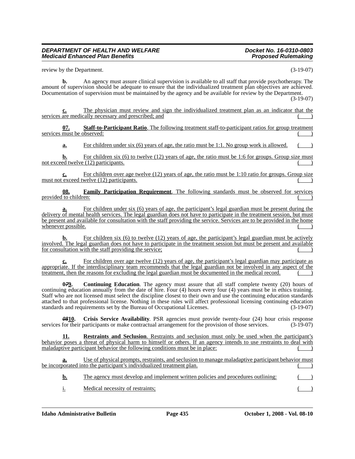review by the Department. (3-19-07)

**b.** An agency must assure clinical supervision is available to all staff that provide psychotherapy. The amount of supervision should be adequate to ensure that the individualized treatment plan objectives are achieved. Documentation of supervision must be maintained by the agency and be available for review by the Department.

(3-19-07)

**c.** The physician must review and sign the individualized treatment plan as an indicator that the services are medically necessary and prescribed; and

**07. Staff-to-Participant Ratio**. The following treatment staff-to-participant ratios for group treatment services must be observed:

**a.** For children under six (6) years of age, the ratio must be 1:1. No group work is allowed.

**b.** For children six (6) to twelve (12) years of age, the ratio must be 1:6 for groups. Group size must not exceed twelve (12) participants.

**c.** For children over age twelve (12) years of age, the ratio must be 1:10 ratio for groups. Group size must not exceed twelve  $(12)$  participants.

**08. Family Participation Requirement**. The following standards must be observed for services provided to children:

For children under six (6) years of age, the participant's legal guardian must be present during the delivery of mental health services. The legal guardian does not have to participate in the treatment session, but must be present and available for consultation with the staff providing the service. Services are to be provided in the home whenever possible.

**b.** For children six (6) to twelve (12) years of age, the participant's legal guardian must be actively involved. The legal guardian does not have to participate in the treatment session but must be present and available for consultation with the staff providing the service;

**c.** For children over age twelve (12) years of age, the participant's legal guardian may participate as appropriate. If the interdisciplinary team recommends that the legal guardian not be involved in any aspect of the treatment, then the reasons for excluding the legal guardian must be documented in the medical record.

**079.** Continuing Education. The agency must assure that all staff complete twenty (20) hours of continuing education annually from the date of hire. Four (4) hours every four (4) years must be in ethics training. Staff who are not licensed must select the discipline closest to their own and use the continuing education standards attached to that professional license. Nothing in these rules will affect professional licensing continuing education standards and requirements set by the Bureau of Occupational Licenses. (3-19-07)

*08***10. Crisis Service Availability**. PSR agencies must provide twenty-four (24) hour crisis response services for their participants or make contractual arrangement for the provision of those services. (3-19-07)

**11. Restraints and Seclusion**. Restraints and seclusion must only be used when the participant's behavior poses a threat of physical harm to himself or others. If an agency intends to use restraints to deal with maladaptive participant behavior the following conditions must be in place:

**a.** Use of physical prompts, restraints, and seclusion to manage maladaptive participant behavior must be incorporated into the participant's individualized treatment plan.

**b.** The agency must develop and implement written policies and procedures outlining:

i. Medical necessity of restraints;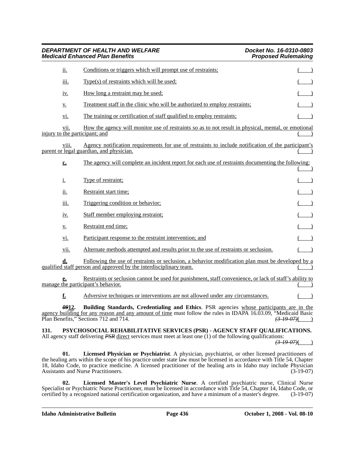- vi. Participant response to the restraint intervention; and
- vii. Alternate methods attempted and results prior to the use of restraints or seclusion. ( )

**d.** Following the use of restraints or seclusion, a behavior modification plan must be developed by a qualified staff person and approved by the interdisciplinary team.

**e.** Restraints or seclusion cannot be used for punishment, staff convenience, or lack of staff's ability to manage the participant's behavior.  $($   $)$ 

**f.** Adversive techniques or interventions are not allowed under any circumstances.

*09***12. Building Standards, Credentialing and Ethics**. PSR agencies whose participants are in the agency building for any reason and any amount of time must follow the rules in IDAPA 16.03.09, "Medicaid Basic<br>Plan Benefits," Sections 712 and 714.  $\left( \frac{3.19 \text{ }07}{4.19 \text{ }07}\right)$ Plan Benefits," Sections 712 and 714.

**131. PSYCHOSOCIAL REHABILITATIVE SERVICES (PSR) - AGENCY STAFF QUALIFICATIONS.** All agency staff delivering *PSR* direct services must meet at least one (1) of the following qualifications:

*(3-19-07)*( )

**01. Licensed Physician or Psychiatrist**. A physician, psychiatrist, or other licensed practitioners of the healing arts within the scope of his practice under state law must be licensed in accordance with Title 54, Chapter 18, Idaho Code, to practice medicine. A licensed practitioner of the healing arts in Idaho may include Physician Assistants and Nurse Practitioners. (3-19-07) Assistants and Nurse Practitioners.

**02. Licensed Master's Level Psychiatric Nurse**. A certified psychiatric nurse, Clinical Nurse Specialist or Psychiatric Nurse Practitioner, must be licensed in accordance with Title 54, Chapter 14, Idaho Code, or certified by a recognized national certification organization, and have a minimum of a master's degree. (3-19-07)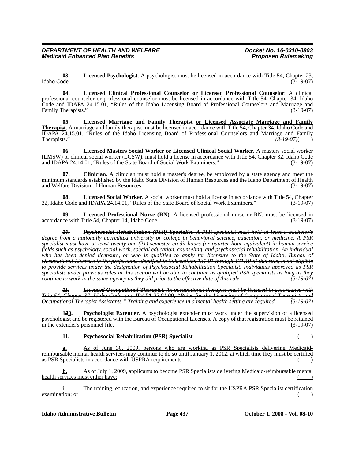**03. Licensed Psychologist**. A psychologist must be licensed in accordance with Title 54, Chapter 23, Idaho Code. (3-19-07)

**04. Licensed Clinical Professional Counselor or Licensed Professional Counselor**. A clinical professional counselor or professional counselor must be licensed in accordance with Title 54, Chapter 34, Idaho Code and IDAPA 24.15.01, "Rules of the Idaho Licensing Board of Professional Counselors and Marriage and Family Therapists."

**05. Licensed Marriage and Family Therapist or Licensed Associate Marriage and Family Therapist**. A marriage and family therapist must be licensed in accordance with Title 54, Chapter 34, Idaho Code and IDAPA 24.15.01, "Rules of the Idaho Licensing Board of Professional Counselors and Marriage and Family<br>Therapists."<br> $\left(3-19-07\right)$ Therapists." *(3-19-07)*( )

**06. Licensed Masters Social Worker or Licensed Clinical Social Worker**. A masters social worker (LMSW) or clinical social worker (LCSW), must hold a license in accordance with Title 54, Chapter 32, Idaho Code and IDAPA 24.14.01, "Rules of the State Board of Social Work Examiners." (3-19-07) and IDAPA 24.14.01, "Rules of the State Board of Social Work Examiners."

**07. Clinician**. A clinician must hold a master's degree, be employed by a state agency and meet the minimum standards established by the Idaho State Division of Human Resources and the Idaho Department of Health and Welfare Division of Human Resources. (3-19-07)

**08. Licensed Social Worker**. A social worker must hold a license in accordance with Title 54, Chapter 32, Idaho Code and IDAPA 24.14.01, "Rules of the State Board of Social Work Examiners." (3-19-07)

**09. Licensed Professional Nurse (RN)**. A licensed professional nurse or RN, must be licensed in accordance with Title 54, Chapter 14, Idaho Code. (3-19-07)

*10. Psychosocial Rehabilitation (PSR) Specialist. A PSR specialist must hold at least a bachelor's degree from a nationally accredited university or college in behavioral science, education, or medicine. A PSR specialist must have at least twenty-one (21) semester credit hours (or quarter hour equivalent) in human service fields such as psychology, social work, special education, counseling, and psychosocial rehabilitation. An individual who has been denied licensure, or who is qualified to apply for licensure to the State of Idaho, Bureau of Occupational Licenses in the professions identified in Subsections 131.01 through 131.10 of this rule, is not eligible to provide services under the designation of Psychosocial Rehabilitation Specialist. Individuals approved as PSR specialists under previous rules in this section will be able to continue as qualified PSR specialists as long as they continue to work in the same agency as they did prior to the effective date of this rule. (3-19-07)*

*11. Licensed Occupational Therapist. An occupational therapist must be licensed in accordance with Title 54, Chapter 37, Idaho Code, and IDAPA 22.01.09, "Rules for the Licensing of Occupational Therapists and Occupational Therapist Assistants." Training and experience in a mental health setting are required. (3-19-07)*

**1***2***0. Psychologist Extender**. A psychologist extender must work under the supervision of a licensed psychologist and be registered with the Bureau of Occupational Licenses. A copy of that registration must be retained in the extender's personnel file. (3-19-07)

# **11. Psychosocial Rehabilitation (PSR) Specialist.**

**a.** As of June 30, 2009, persons who are working as PSR Specialists delivering Medicaidreimbursable mental health services may continue to do so until January 1, 2012, at which time they must be certified as PSR Specialists in accordance with USPRA requirements.

**b.** As of July 1, 2009, applicants to become PSR Specialists delivering Medicaid-reimbursable mental health services must either have:

i. The training, education, and experience required to sit for the USPRA PSR Specialist certification examination; or

**Idaho Administrative Bulletin Page 437 October 1, 2008 - Vol. 08-10**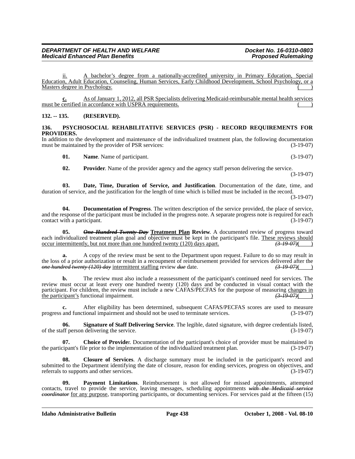ii. A bachelor's degree from a nationally-accredited university in Primary Education, Special Education, Adult Education, Counseling, Human Services, Early Childhood Development, School Psychology, or a Masters degree in Psychology.

**c.** As of January 1, 2012, all PSR Specialists delivering Medicaid-reimbursable mental health services must be certified in accordance with USPRA requirements.

# **132. -- 135. (RESERVED).**

### **136. PSYCHOSOCIAL REHABILITATIVE SERVICES (PSR) - RECORD REQUIREMENTS FOR PROVIDERS.**

In addition to the development and maintenance of the individualized treatment plan, the following documentation must be maintained by the provider of PSR services: (3-19-07)

**01.** Name. Name of participant. (3-19-07)

**02.** Provider. Name of the provider agency and the agency staff person delivering the service.

(3-19-07)

**03. Date, Time, Duration of Service, and Justification**. Documentation of the date, time, and duration of service, and the justification for the length of time which is billed must be included in the record. (3-19-07)

**04. Documentation of Progress**. The written description of the service provided, the place of service, and the response of the participant must be included in the progress note. A separate progress note is required for each contact with a participant. (3-19-07)

**05.** *One Hundred Twenty Day* **Treatment Plan Review**. A documented review of progress toward each individualized treatment plan goal and objective must be kept in the participant's file. These reviews should occur intermittently, but not more than one hundred twenty (120) days apart. occur intermittently, but not more than one hundred twenty (120) days apart.

**a.** A copy of the review must be sent to the Department upon request. Failure to do so may result in the loss of a prior authorization or result in a recoupment of reimbursement provided for services delivered after the one hundred twenty (120) day intermittent staffing review due date.  $\overline{(3.19.07)()}$ *one hundred twenty (120) day intermittent staffing review due date.* 

**b.** The review must also include a reassessment of the participant's continued need for services. The review must occur at least every one hundred twenty (120) days and be conducted in visual contact with the participant. For children, the review must include a new CAFAS/PECFAS for the purpose of measuring changes in the participant's functional impairment. the participant's functional impairment.

**c.** After eligibility has been determined, subsequent CAFAS/PECFAS scores are used to measure progress and functional impairment and should not be used to terminate services. (3-19-07)

**06.** Signature of Staff Delivering Service. The legible, dated signature, with degree credentials listed, eff person delivering the service. of the staff person delivering the service.

**07. Choice of Provide**r. Documentation of the participant's choice of provider must be maintained in the participant's file prior to the implementation of the individualized treatment plan. (3-19-07)

**08. Closure of Services**. A discharge summary must be included in the participant's record and submitted to the Department identifying the date of closure, reason for ending services, progress on objectives, and referrals to supports and other services. (3-19-07)

**09. Payment Limitations**. Reimbursement is not allowed for missed appointments, attempted contacts, travel to provide the service, leaving messages, scheduling appointments *with the Medicaid service coordinator* for any purpose, transporting participants, or documenting services. For services paid at the fifteen (15)